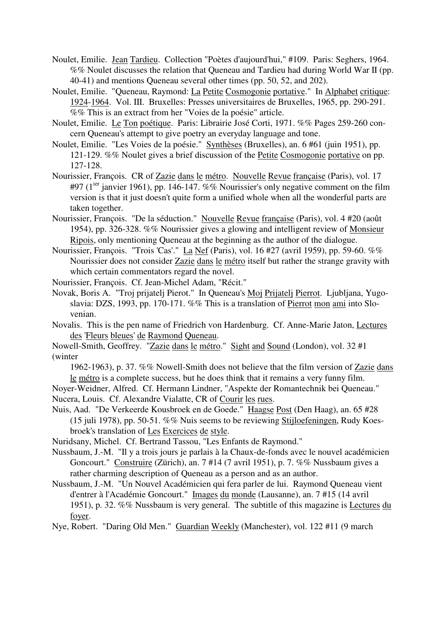- Noulet, Emilie. Jean Tardieu. Collection "Poètes d'aujourd'hui," #109. Paris: Seghers, 1964. %% Noulet discusses the relation that Queneau and Tardieu had during World War II (pp. 40-41) and mentions Queneau several other times (pp. 50, 52, and 202).
- Noulet, Emilie. "Queneau, Raymond: La Petite Cosmogonie portative." In Alphabet critique: 1924-1964. Vol. III. Bruxelles: Presses universitaires de Bruxelles, 1965, pp. 290-291. %% This is an extract from her "Voies de la poésie" article.
- Noulet, Emilie. Le Ton poétique. Paris: Librairie José Corti, 1971. %% Pages 259-260 concern Queneau's attempt to give poetry an everyday language and tone.
- Noulet, Emilie. "Les Voies de la poésie." Synthèses (Bruxelles), an. 6 #61 (juin 1951), pp. 121-129. %% Noulet gives a brief discussion of the Petite Cosmogonie portative on pp. 127-128.
- Nourissier, François. CR of Zazie dans le métro. Nouvelle Revue française (Paris), vol. 17 #97 ( $1^{ter}$  janvier 1961), pp. 146-147. %% Nourissier's only negative comment on the film version is that it just doesn't quite form a unified whole when all the wonderful parts are taken together.
- Nourissier, François. "De la séduction." Nouvelle Revue française (Paris), vol. 4 #20 (août 1954), pp. 326-328. %% Nourissier gives a glowing and intelligent review of Monsieur Ripois, only mentioning Queneau at the beginning as the author of the dialogue.
- Nourissier, François. "Trois 'Cas'." La Nef (Paris), vol. 16 #27 (avril 1959), pp. 59-60. %% Nourissier does not consider Zazie dans le métro itself but rather the strange gravity with which certain commentators regard the novel.

Nourissier, François. Cf. Jean-Michel Adam, "Récit."

- Novak, Boris A. "Troj prijatelj Pierot." In Queneau's Moj Prijatelj Pierrot. Ljubljana, Yugoslavia: DZS, 1993, pp. 170-171. %% This is a translation of Pierrot mon ami into Slovenian.
- Novalis. This is the pen name of Friedrich von Hardenburg. Cf. Anne-Marie Jaton, Lectures des 'Fleurs bleues' de Raymond Queneau.
- Nowell-Smith, Geoffrey. "Zazie dans le métro." Sight and Sound (London), vol. 32 #1 (winter

1962-1963), p. 37. %% Nowell-Smith does not believe that the film version of Zazie dans le métro is a complete success, but he does think that it remains a very funny film.

Noyer-Weidner, Alfred. Cf. Hermann Lindner, "Aspekte der Romantechnik bei Queneau." Nucera, Louis. Cf. Alexandre Vialatte, CR of Courir les rues.

Nuis, Aad. "De Verkeerde Kousbroek en de Goede." Haagse Post (Den Haag), an. 65 #28 (15 juli 1978), pp. 50-51. %% Nuis seems to be reviewing Stijloefeningen, Rudy Koesbroek's translation of Les Exercices de style.

Nuridsany, Michel. Cf. Bertrand Tassou, "Les Enfants de Raymond."

Nussbaum, J.-M. "Il y a trois jours je parlais à la Chaux-de-fonds avec le nouvel académicien Goncourt." Construire (Zürich), an. 7 #14 (7 avril 1951), p. 7. %% Nussbaum gives a rather charming description of Queneau as a person and as an author.

- Nussbaum, J.-M. "Un Nouvel Académicien qui fera parler de lui. Raymond Queneau vient d'entrer à l'Académie Goncourt." Images du monde (Lausanne), an. 7 #15 (14 avril 1951), p. 32. %% Nussbaum is very general. The subtitle of this magazine is Lectures du foyer.
- Nye, Robert. "Daring Old Men." Guardian Weekly (Manchester), vol. 122 #11 (9 march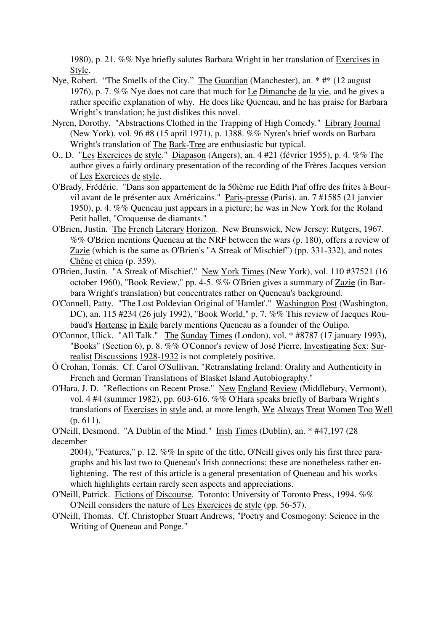1980), p. 21. %% Nye briefly salutes Barbara Wright in her translation of Exercises in Style.

- Nye, Robert. "The Smells of the City." The Guardian (Manchester), an. \* #\* (12 august 1976), p. 7. %% Nye does not care that much for Le Dimanche de la vie, and he gives a rather specific explanation of why. He does like Queneau, and he has praise for Barbara Wright's translation; he just dislikes this novel.
- Nyren, Dorothy. "Abstractions Clothed in the Trapping of High Comedy." Library Journal (New York), vol. 96 #8 (15 april 1971), p. 1388. %% Nyren's brief words on Barbara Wright's translation of The Bark-Tree are enthusiastic but typical.
- O., D. "Les Exercices de style." Diapason (Angers), an. 4 #21 (février 1955), p. 4. %% The author gives a fairly ordinary presentation of the recording of the Frères Jacques version of Les Exercices de style.
- O'Brady, Frédéric. "Dans son appartement de la 50ième rue Edith Piaf offre des frites à Bourvil avant de le présenter aux Américains." Paris-presse (Paris), an. 7 #1585 (21 janvier 1950), p. 4. %% Queneau just appears in a picture; he was in New York for the Roland Petit ballet. "Croqueuse de diamants."
- O'Brien, Justin. The French Literary Horizon. New Brunswick, New Jersey: Rutgers, 1967. %% O'Brien mentions Queneau at the NRF between the wars (p. 180), offers a review of Zazie (which is the same as O'Brien's "A Streak of Mischief") (pp. 331-332), and notes Chêne et chien (p. 359).
- O'Brien, Justin. "A Streak of Mischief." New York Times (New York), vol. 110 #37521 (16 october 1960), "Book Review," pp. 4-5. %% O'Brien gives a summary of Zazie (in Barbara Wright's translation) but concentrates rather on Queneau's background.
- O'Connell, Patty. "The Lost Poldevian Original of 'Hamlet'." Washington Post (Washington, DC), an. 115 #234 (26 july 1992), "Book World," p. 7. %% This review of Jacques Roubaud's Hortense in Exile barely mentions Queneau as a founder of the Oulipo.
- O'Connor, Ulick. "All Talk." The Sunday Times (London), vol. \* #8787 (17 january 1993), "Books" (Section 6), p. 8. %% O'Connor's review of José Pierre, Investigating Sex: Surrealist Discussions 1928-1932 is not completely positive.
- Ó Crohan, Tomás. Cf. Carol O'Sullivan, "Retranslating Ireland: Orality and Authenticity in French and German Translations of Blasket Island Autobiography."
- O'Hara, J. D. "Reflections on Recent Prose." New England Review (Middlebury, Vermont), vol. 4 #4 (summer 1982), pp. 603-616. %% O'Hara speaks briefly of Barbara Wright's translations of Exercises in style and, at more length, We Always Treat Women Too Well (p. 611).

O'Neill, Desmond. "A Dublin of the Mind." Irish Times (Dublin), an. \* #47,197 (28 december

2004), "Features," p. 12. %% In spite of the title, O'Neill gives only his first three paragraphs and his last two to Queneau's Irish connections; these are nonetheless rather enlightening. The rest of this article is a general presentation of Queneau and his works which highlights certain rarely seen aspects and appreciations.

- O'Neill, Patrick. Fictions of Discourse. Toronto: University of Toronto Press, 1994. %% O'Neill considers the nature of Les Exercices de style (pp. 56-57).
- O'Neill, Thomas. Cf. Christopher Stuart Andrews, "Poetry and Cosmogony: Science in the Writing of Queneau and Ponge."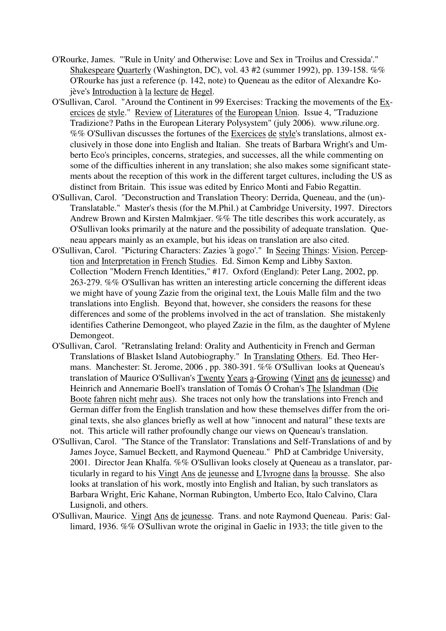- O'Rourke, James. "'Rule in Unity' and Otherwise: Love and Sex in 'Troilus and Cressida'." Shakespeare Quarterly (Washington, DC), vol. 43 #2 (summer 1992), pp. 139-158. %% O'Rourke has just a reference (p. 142, note) to Queneau as the editor of Alexandre Kojève's Introduction à la lecture de Hegel.
- O'Sullivan, Carol. "Around the Continent in 99 Exercises: Tracking the movements of the Exercices de style." Review of Literatures of the European Union. Issue 4, "Traduzione Tradizione? Paths in the European Literary Polysystem" (july 2006). www.rilune.org. %% O'Sullivan discusses the fortunes of the Exercices de style's translations, almost exclusively in those done into English and Italian. She treats of Barbara Wright's and Umberto Eco's principles, concerns, strategies, and successes, all the while commenting on some of the difficulties inherent in any translation; she also makes some significant statements about the reception of this work in the different target cultures, including the US as distinct from Britain. This issue was edited by Enrico Monti and Fabio Regattin.
- O'Sullivan, Carol. "Deconstruction and Translation Theory: Derrida, Queneau, and the (un)- Translatable." Master's thesis (for the M.Phil.) at Cambridge University, 1997. Directors Andrew Brown and Kirsten Malmkjaer. %% The title describes this work accurately, as O'Sullivan looks primarily at the nature and the possibility of adequate translation. Queneau appears mainly as an example, but his ideas on translation are also cited.
- O'Sullivan, Carol. "Picturing Characters: Zazies 'à gogo'." In Seeing Things: Vision, Perception and Interpretation in French Studies. Ed. Simon Kemp and Libby Saxton. Collection "Modern French Identities," #17. Oxford (England): Peter Lang, 2002, pp. 263-279. %% O'Sullivan has written an interesting article concerning the different ideas we might have of young Zazie from the original text, the Louis Malle film and the two translations into English. Beyond that, however, she considers the reasons for these differences and some of the problems involved in the act of translation. She mistakenly identifies Catherine Demongeot, who played Zazie in the film, as the daughter of Mylene Demongeot.
- O'Sullivan, Carol. "Retranslating Ireland: Orality and Authenticity in French and German Translations of Blasket Island Autobiography." In Translating Others. Ed. Theo Hermans. Manchester: St. Jerome, 2006 , pp. 380-391. %% O'Sullivan looks at Queneau's translation of Maurice O'Sullivan's Twenty Years a-Growing (Vingt ans de jeunesse) and Heinrich and Annemarie Boell's translation of Tomás Ó Crohan's The Islandman (Die Boote fahren nicht mehr aus). She traces not only how the translations into French and German differ from the English translation and how these themselves differ from the original texts, she also glances briefly as well at how "innocent and natural" these texts are not. This article will rather profoundly change our views on Queneau's translation.
- O'Sullivan, Carol. "The Stance of the Translator: Translations and Self-Translations of and by James Joyce, Samuel Beckett, and Raymond Queneau." PhD at Cambridge University, 2001. Director Jean Khalfa. %% O'Sullivan looks closely at Queneau as a translator, particularly in regard to his Vingt Ans de jeunesse and L'Ivrogne dans la brousse. She also looks at translation of his work, mostly into English and Italian, by such translators as Barbara Wright, Eric Kahane, Norman Rubington, Umberto Eco, Italo Calvino, Clara Lusignoli, and others.
- O'Sullivan, Maurice. Vingt Ans de jeunesse. Trans. and note Raymond Queneau. Paris: Gallimard, 1936. %% O'Sullivan wrote the original in Gaelic in 1933; the title given to the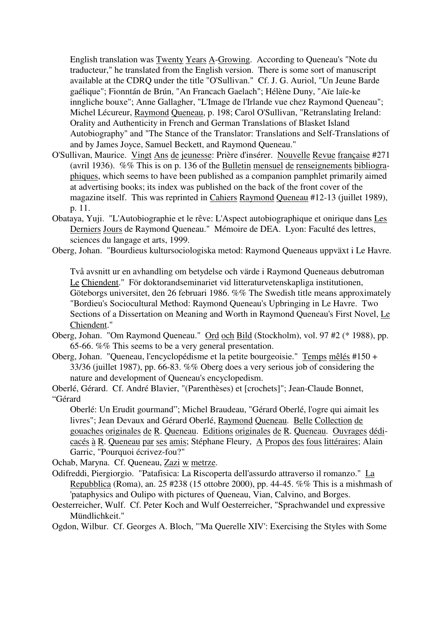English translation was Twenty Years A-Growing. According to Queneau's "Note du traducteur," he translated from the English version. There is some sort of manuscript available at the CDRQ under the title "O'Sullivan." Cf. J. G. Auriol, "Un Jeune Barde gaélique"; Fionntán de Brún, "An Francach Gaelach"; Hélène Duny, "Aïe laïe-ke inngliche bouxe"; Anne Gallagher, "L'Image de l'Irlande vue chez Raymond Queneau"; Michel Lécureur, Raymond Queneau, p. 198; Carol O'Sullivan, "Retranslating Ireland: Orality and Authenticity in French and German Translations of Blasket Island Autobiography" and "The Stance of the Translator: Translations and Self-Translations of and by James Joyce, Samuel Beckett, and Raymond Queneau."

- O'Sullivan, Maurice. Vingt Ans de jeunesse: Prière d'insérer. Nouvelle Revue française #271 (avril 1936). %% This is on p. 136 of the Bulletin mensuel de renseignements bibliographiques, which seems to have been published as a companion pamphlet primarily aimed at advertising books; its index was published on the back of the front cover of the magazine itself. This was reprinted in Cahiers Raymond Queneau #12-13 (juillet 1989), p. 11.
- Obataya, Yuji. "L'Autobiographie et le rêve: L'Aspect autobiographique et onirique dans Les Derniers Jours de Raymond Queneau." Mémoire de DEA. Lyon: Faculté des lettres, sciences du langage et arts, 1999.
- Oberg, Johan. "Bourdieus kultursociologiska metod: Raymond Queneaus uppväxt i Le Havre.

Två avsnitt ur en avhandling om betydelse och värde i Raymond Queneaus debutroman Le Chiendent." För doktorandseminariet vid litteraturvetenskapliga institutionen, Göteborgs universitet, den 26 februari 1986. %% The Swedish title means approximately "Bordieu's Sociocultural Method: Raymond Queneau's Upbringing in Le Havre. Two Sections of a Dissertation on Meaning and Worth in Raymond Queneau's First Novel, Le Chiendent."

- Oberg, Johan. "Om Raymond Queneau." Ord och Bild (Stockholm), vol. 97 #2 (\* 1988), pp. 65-66. %% This seems to be a very general presentation.
- Oberg, Johan. "Queneau, l'encyclopédisme et la petite bourgeoisie." Temps mêlés #150 + 33/36 (juillet 1987), pp. 66-83. %% Oberg does a very serious job of considering the nature and development of Queneau's encyclopedism.
- Oberlé, Gérard. Cf. André Blavier, "(Parenthèses) et [crochets]"; Jean-Claude Bonnet, "Gérard

Oberlé: Un Erudit gourmand"; Michel Braudeau, "Gérard Oberlé, l'ogre qui aimait les livres"; Jean Devaux and Gérard Oberlé, Raymond Queneau. Belle Collection de gouaches originales de R. Queneau. Editions originales de R. Queneau. Ouvrages dédicacés à R. Queneau par ses amis; Stéphane Fleury, A Propos des fous littéraires; Alain Garric, "Pourquoi écrivez-fou?"

Ochab, Maryna. Cf. Queneau, Zazi w metrze.

- Odifreddi, Piergiorgio. "Patafisica: La Riscoperta dell'assurdo attraverso il romanzo." La Repubblica (Roma), an. 25 #238 (15 ottobre 2000), pp. 44-45. %% This is a mishmash of 'pataphysics and Oulipo with pictures of Queneau, Vian, Calvino, and Borges.
- Oesterreicher, Wulf. Cf. Peter Koch and Wulf Oesterreicher, "Sprachwandel und expressive Mündlichkeit."

Ogdon, Wilbur. Cf. Georges A. Bloch, "'Ma Querelle XIV': Exercising the Styles with Some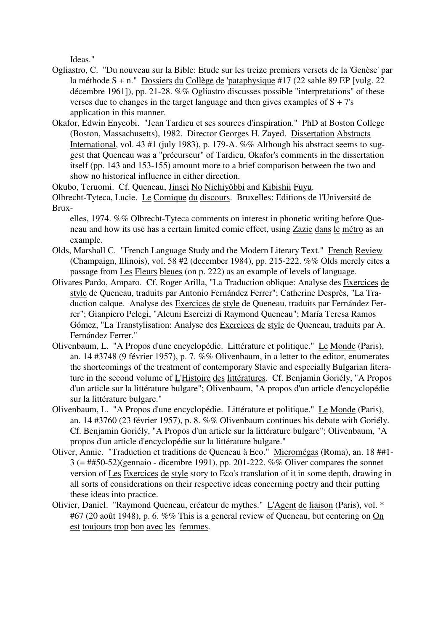Ideas."

- Ogliastro, C. "Du nouveau sur la Bible: Etude sur les treize premiers versets de la 'Genèse' par la méthode S + n." Dossiers du Collège de 'pataphysique #17 (22 sable 89 EP [vulg. 22 décembre 1961]), pp. 21-28. %% Ogliastro discusses possible "interpretations" of these verses due to changes in the target language and then gives examples of  $S + 7's$ application in this manner.
- Okafor, Edwin Enyeobi. "Jean Tardieu et ses sources d'inspiration." PhD at Boston College (Boston, Massachusetts), 1982. Director Georges H. Zayed. Dissertation Abstracts International, vol. 43 #1 (july 1983), p. 179-A. %% Although his abstract seems to suggest that Queneau was a "précurseur" of Tardieu, Okafor's comments in the dissertation itself (pp. 143 and 153-155) amount more to a brief comparison between the two and show no historical influence in either direction.

Okubo, Teruomi. Cf. Queneau, Jinsei No Nichiyöbbi and Kibishii Fuyu.

Olbrecht-Tyteca, Lucie. Le Comique du discours. Bruxelles: Editions de l'Université de Brux-

elles, 1974. %% Olbrecht-Tyteca comments on interest in phonetic writing before Queneau and how its use has a certain limited comic effect, using Zazie dans le métro as an example.

- Olds, Marshall C. "French Language Study and the Modern Literary Text." French Review (Champaign, Illinois), vol. 58 #2 (december 1984), pp. 215-222. %% Olds merely cites a passage from Les Fleurs bleues (on p. 222) as an example of levels of language.
- Olivares Pardo, Amparo. Cf. Roger Arilla, "La Traduction oblique: Analyse des Exercices de style de Queneau, traduits par Antonio Fernández Ferrer"; Catherine Desprès, "La Traduction calque. Analyse des Exercices de style de Queneau, traduits par Fernández Ferrer"; Gianpiero Pelegi, "Alcuni Esercizi di Raymond Queneau"; María Teresa Ramos Gómez, "La Transtylisation: Analyse des Exercices de style de Queneau, traduits par A. Fernández Ferrer."
- Olivenbaum, L. "A Propos d'une encyclopédie. Littérature et politique." Le Monde (Paris), an. 14 #3748 (9 février 1957), p. 7. %% Olivenbaum, in a letter to the editor, enumerates the shortcomings of the treatment of contemporary Slavic and especially Bulgarian literature in the second volume of L'Histoire des littératures. Cf. Benjamin Goriély, "A Propos d'un article sur la littérature bulgare"; Olivenbaum, "A propos d'un article d'encyclopédie sur la littérature bulgare."
- Olivenbaum, L. "A Propos d'une encyclopédie. Littérature et politique." Le Monde (Paris), an. 14 #3760 (23 février 1957), p. 8. %% Olivenbaum continues his debate with Goriély. Cf. Benjamin Goriély, "A Propos d'un article sur la littérature bulgare"; Olivenbaum, "A propos d'un article d'encyclopédie sur la littérature bulgare."
- Oliver, Annie. "Traduction et traditions de Queneau à Eco." Micromégas (Roma), an. 18 ##1- 3 (= ##50-52)(gennaio - dicembre 1991), pp. 201-222. %% Oliver compares the sonnet version of Les Exercices de style story to Eco's translation of it in some depth, drawing in all sorts of considerations on their respective ideas concerning poetry and their putting these ideas into practice.
- Olivier, Daniel. "Raymond Queneau, créateur de mythes." L'Agent de liaison (Paris), vol. \* #67 (20 août 1948), p. 6. %% This is a general review of Queneau, but centering on On est toujours trop bon avec les femmes.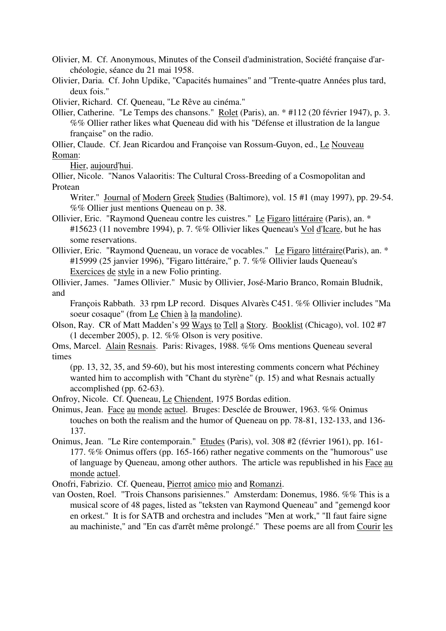Olivier, M. Cf. Anonymous, Minutes of the Conseil d'administration, Société française d'archéologie, séance du 21 mai 1958.

Olivier, Daria. Cf. John Updike, "Capacités humaines" and "Trente-quatre Années plus tard, deux fois."

Olivier, Richard. Cf. Queneau, "Le Rêve au cinéma."

Ollier, Catherine. "Le Temps des chansons." Rolet (Paris), an. \* #112 (20 février 1947), p. 3. %% Ollier rather likes what Queneau did with his "Défense et illustration de la langue française" on the radio.

Ollier, Claude. Cf. Jean Ricardou and Françoise van Rossum-Guyon, ed., Le Nouveau Roman:

Hier, aujourd'hui.

Ollier, Nicole. "Nanos Valaoritis: The Cultural Cross-Breeding of a Cosmopolitan and Protean

Writer." Journal of Modern Greek Studies (Baltimore), vol. 15 #1 (may 1997), pp. 29-54. %% Ollier just mentions Queneau on p. 38.

- Ollivier, Eric. "Raymond Queneau contre les cuistres." Le Figaro littéraire (Paris), an. \* #15623 (11 novembre 1994), p. 7. %% Ollivier likes Queneau's Vol d'Icare, but he has some reservations.
- Ollivier, Eric. "Raymond Queneau, un vorace de vocables." Le Figaro littéraire(Paris), an. \* #15999 (25 janvier 1996), "Figaro littéraire," p. 7. %% Ollivier lauds Queneau's Exercices de style in a new Folio printing.

Ollivier, James. "James Ollivier." Music by Ollivier, José-Mario Branco, Romain Bludnik, and

François Rabbath. 33 rpm LP record. Disques Alvarès C451. %% Ollivier includes "Ma soeur cosaque" (from Le Chien à la mandoline).

- Olson, Ray. CR of Matt Madden's 99 Ways to Tell a Story. Booklist (Chicago), vol. 102 #7 (1 december 2005), p. 12. %% Olson is very positive.
- Oms, Marcel. Alain Resnais. Paris: Rivages, 1988. %% Oms mentions Queneau several times

(pp. 13, 32, 35, and 59-60), but his most interesting comments concern what Péchiney wanted him to accomplish with "Chant du styrène" (p. 15) and what Resnais actually accomplished (pp. 62-63).

Onfroy, Nicole. Cf. Queneau, Le Chiendent, 1975 Bordas edition.

- Onimus, Jean. Face au monde actuel. Bruges: Desclée de Brouwer, 1963. %% Onimus touches on both the realism and the humor of Queneau on pp. 78-81, 132-133, and 136- 137.
- Onimus, Jean. "Le Rire contemporain." Etudes (Paris), vol. 308 #2 (février 1961), pp. 161- 177. %% Onimus offers (pp. 165-166) rather negative comments on the "humorous" use of language by Queneau, among other authors. The article was republished in his Face au monde actuel.
- Onofri, Fabrizio. Cf. Queneau, Pierrot amico mio and Romanzi.
- van Oosten, Roel. "Trois Chansons parisiennes." Amsterdam: Donemus, 1986. %% This is a musical score of 48 pages, listed as "teksten van Raymond Queneau" and "gemengd koor en orkest." It is for SATB and orchestra and includes "Men at work," "Il faut faire signe au machiniste," and "En cas d'arrêt même prolongé." These poems are all from Courir les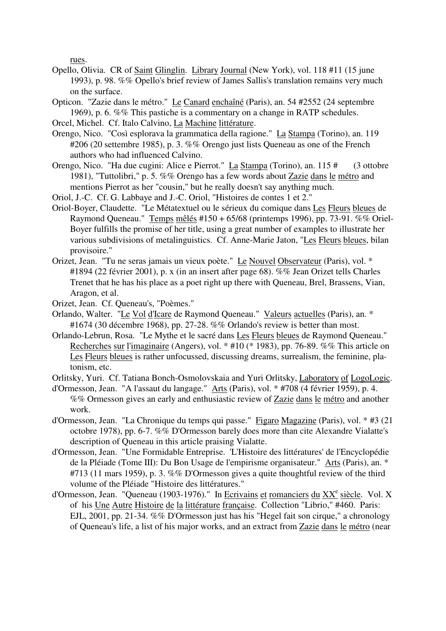rues.

- Opello, Olivia. CR of Saint Glinglin. Library Journal (New York), vol. 118 #11 (15 june 1993), p. 98. %% Opello's brief review of James Sallis's translation remains very much on the surface.
- Opticon. "Zazie dans le métro." Le Canard enchaîné (Paris), an. 54 #2552 (24 septembre 1969), p. 6. %% This pastiche is a commentary on a change in RATP schedules.
- Orcel, Michel. Cf. Italo Calvino, La Machine littérature.
- Orengo, Nico. "Così esplorava la grammatica della ragione." La Stampa (Torino), an. 119 #206 (20 settembre 1985), p. 3. %% Orengo just lists Queneau as one of the French authors who had influenced Calvino.
- Orengo, Nico. "Ha due cugini: Alice e Pierrot." La Stampa (Torino), an. 115 # (3 ottobre 1981), "Tuttolibri," p. 5. %% Orengo has a few words about Zazie dans le métro and mentions Pierrot as her "cousin," but he really doesn't say anything much.
- Oriol, J.-C. Cf. G. Labbaye and J.-C. Oriol, "Histoires de contes 1 et 2."
- Oriol-Boyer, Claudette. "Le Métatextuel ou le sérieux du comique dans Les Fleurs bleues de Raymond Queneau." Temps mêlés #150 + 65/68 (printemps 1996), pp. 73-91. %% Oriel-Boyer fulfills the promise of her title, using a great number of examples to illustrate her various subdivisions of metalinguistics. Cf. Anne-Marie Jaton, "Les Fleurs bleues, bilan provisoire."
- Orizet, Jean. "Tu ne seras jamais un vieux poète." Le Nouvel Observateur (Paris), vol. \* #1894 (22 février 2001), p. x (in an insert after page 68). %% Jean Orizet tells Charles Trenet that he has his place as a poet right up there with Queneau, Brel, Brassens, Vian, Aragon, et al.
- Orizet, Jean. Cf. Queneau's, "Poèmes."
- Orlando, Walter. "Le Vol d'Icare de Raymond Queneau." Valeurs actuelles (Paris), an. \* #1674 (30 décembre 1968), pp. 27-28. %% Orlando's review is better than most.
- Orlando-Lebrun, Rosa. "Le Mythe et le sacré dans Les Fleurs bleues de Raymond Queneau." Recherches sur l'imaginaire (Angers), vol. \* #10 (\* 1983), pp. 76-89. %% This article on Les Fleurs bleues is rather unfocussed, discussing dreams, surrealism, the feminine, platonism, etc.
- Orlitsky, Yuri. Cf. Tatiana Bonch-Osmolovskaia and Yuri Orlitsky, Laboratory of LogoLogic.
- d'Ormesson, Jean. "A l'assaut du langage." Arts (Paris), vol. \* #708 (4 février 1959), p. 4. %% Ormesson gives an early and enthusiastic review of Zazie dans le métro and another work.
- d'Ormesson, Jean. "La Chronique du temps qui passe." Figaro Magazine (Paris), vol. \* #3 (21 octobre 1978), pp. 6-7. %% D'Ormesson barely does more than cite Alexandre Vialatte's description of Queneau in this article praising Vialatte.
- d'Ormesson, Jean. "Une Formidable Entreprise. 'L'Histoire des littératures' de l'Encyclopédie de la Pléiade (Tome III): Du Bon Usage de l'empirisme organisateur." Arts (Paris), an. \* #713 (11 mars 1959), p. 3. %% D'Ormesson gives a quite thoughtful review of the third volume of the Pléiade "Histoire des littératures."
- d'Ormesson, Jean. "Queneau (1903-1976)." In Ecrivains et romanciers du XX<sup>e</sup> siècle. Vol. X of his Une Autre Histoire de la littérature française. Collection "Librio," #460. Paris: EJL, 2001, pp. 21-34. %% D'Ormesson just has his "Hegel fait son cirque," a chronology of Queneau's life, a list of his major works, and an extract from Zazie dans le métro (near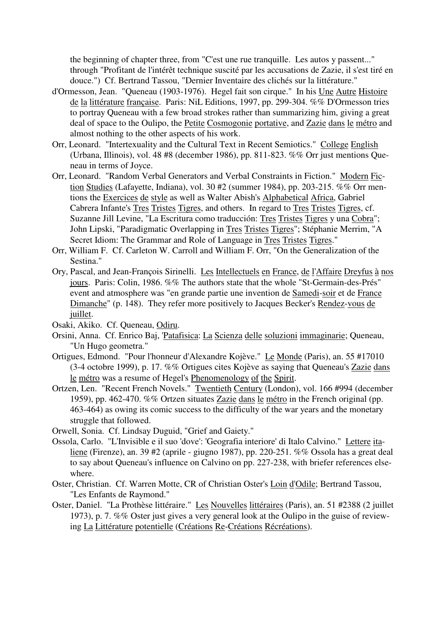the beginning of chapter three, from "C'est une rue tranquille. Les autos y passent..." through "Profitant de l'intérêt technique suscité par les accusations de Zazie, il s'est tiré en douce.") Cf. Bertrand Tassou, "Dernier Inventaire des clichés sur la littérature."

- d'Ormesson, Jean. "Queneau (1903-1976). Hegel fait son cirque." In his Une Autre Histoire de la littérature française. Paris: NiL Editions, 1997, pp. 299-304. %% D'Ormesson tries to portray Queneau with a few broad strokes rather than summarizing him, giving a great deal of space to the Oulipo, the Petite Cosmogonie portative, and Zazie dans le métro and almost nothing to the other aspects of his work.
- Orr, Leonard. "Intertexuality and the Cultural Text in Recent Semiotics." College English (Urbana, Illinois), vol. 48 #8 (december 1986), pp. 811-823. %% Orr just mentions Queneau in terms of Joyce.
- Orr, Leonard. "Random Verbal Generators and Verbal Constraints in Fiction." Modern Fiction Studies (Lafayette, Indiana), vol. 30 #2 (summer 1984), pp. 203-215. %% Orr mentions the Exercices de style as well as Walter Abish's Alphabetical Africa, Gabriel Cabrera Infante's Tres Tristes Tigres, and others. In regard to Tres Tristes Tigres, cf. Suzanne Jill Levine, "La Escritura como traducción: Tres Tristes Tigres y una Cobra"; John Lipski, "Paradigmatic Overlapping in Tres Tristes Tigres"; Stéphanie Merrim, "A Secret Idiom: The Grammar and Role of Language in Tres Tristes Tigres."
- Orr, William F. Cf. Carleton W. Carroll and William F. Orr, "On the Generalization of the Sestina."
- Ory, Pascal, and Jean-François Sirinelli. Les Intellectuels en France, de l'Affaire Dreyfus à nos jours. Paris: Colin, 1986. %% The authors state that the whole "St-Germain-des-Prés" event and atmosphere was "en grande partie une invention de Samedi-soir et de France Dimanche" (p. 148). They refer more positively to Jacques Becker's Rendez-vous de juillet.
- Osaki, Akiko. Cf. Queneau, Odiru.
- Orsini, Anna. Cf. Enrico Baj, 'Patafisica: La Scienza delle soluzioni immaginarie; Queneau, "Un Hugo geometra."
- Ortigues, Edmond. "Pour l'honneur d'Alexandre Kojève." Le Monde (Paris), an. 55 #17010 (3-4 octobre 1999), p. 17. %% Ortigues cites Kojève as saying that Queneau's Zazie dans le métro was a resume of Hegel's Phenomenology of the Spirit.
- Ortzen, Len. "Recent French Novels." Twentieth Century (London), vol. 166 #994 (december 1959), pp. 462-470. %% Ortzen situates Zazie dans le métro in the French original (pp. 463-464) as owing its comic success to the difficulty of the war years and the monetary struggle that followed.
- Orwell, Sonia. Cf. Lindsay Duguid, "Grief and Gaiety."
- Ossola, Carlo. "L'Invisible e il suo 'dove': 'Geografia interiore' di Italo Calvino." Lettere italiene (Firenze), an. 39 #2 (aprile - giugno 1987), pp. 220-251. %% Ossola has a great deal to say about Queneau's influence on Calvino on pp. 227-238, with briefer references elsewhere.
- Oster, Christian. Cf. Warren Motte, CR of Christian Oster's Loin d'Odile; Bertrand Tassou, "Les Enfants de Raymond."
- Oster, Daniel. "La Prothèse littéraire." Les Nouvelles littéraires (Paris), an. 51 #2388 (2 juillet 1973), p. 7. %% Oster just gives a very general look at the Oulipo in the guise of reviewing La Littérature potentielle (Créations Re-Créations Récréations).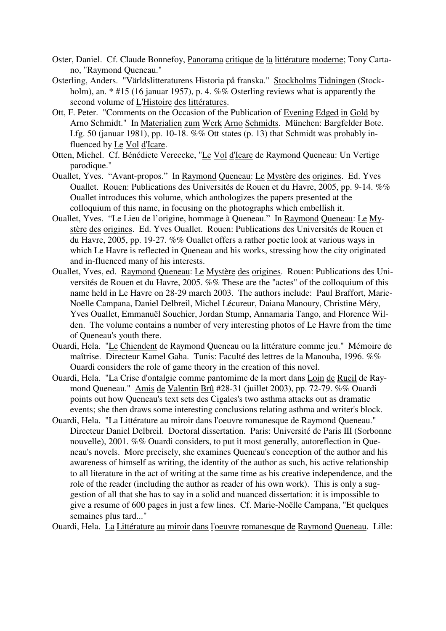- Oster, Daniel. Cf. Claude Bonnefoy, Panorama critique de la littérature moderne; Tony Cartano, "Raymond Queneau."
- Osterling, Anders. "Världslitteraturens Historia på franska." Stockholms Tidningen (Stockholm), an. \* #15 (16 januar 1957), p. 4. %% Osterling reviews what is apparently the second volume of L'Histoire des littératures.
- Ott, F. Peter. "Comments on the Occasion of the Publication of Evening Edged in Gold by Arno Schmidt." In Materialien zum Werk Arno Schmidts. München: Bargfelder Bote. Lfg. 50 (januar 1981), pp. 10-18.  $\%$ % Ott states (p. 13) that Schmidt was probably influenced by Le Vol d'Icare.
- Otten, Michel. Cf. Bénédicte Vereecke, "Le Vol d'Icare de Raymond Queneau: Un Vertige parodique."
- Ouallet, Yves. "Avant-propos." In Raymond Queneau: Le Mystère des origines. Ed. Yves Ouallet. Rouen: Publications des Universités de Rouen et du Havre, 2005, pp. 9-14. %% Ouallet introduces this volume, which anthologizes the papers presented at the colloquium of this name, in focusing on the photographs which embellish it.
- Ouallet, Yves. "Le Lieu de l'origine, hommage à Queneau." In Raymond Queneau: Le Mystère des origines. Ed. Yves Ouallet. Rouen: Publications des Universités de Rouen et du Havre, 2005, pp. 19-27. %% Ouallet offers a rather poetic look at various ways in which Le Havre is reflected in Queneau and his works, stressing how the city originated and in-fluenced many of his interests.
- Ouallet, Yves, ed. Raymond Queneau: Le Mystère des origines. Rouen: Publications des Universités de Rouen et du Havre, 2005. %% These are the "actes" of the colloquium of this name held in Le Havre on 28-29 march 2003. The authors include: Paul Braffort, Marie-Noëlle Campana, Daniel Delbreil, Michel Lécureur, Daiana Manoury, Christine Méry, Yves Ouallet, Emmanuël Souchier, Jordan Stump, Annamaria Tango, and Florence Wilden. The volume contains a number of very interesting photos of Le Havre from the time of Queneau's youth there.
- Ouardi, Hela. "Le Chiendent de Raymond Queneau ou la littérature comme jeu." Mémoire de maîtrise. Directeur Kamel Gaha. Tunis: Faculté des lettres de la Manouba, 1996. %% Ouardi considers the role of game theory in the creation of this novel.
- Ouardi, Hela. "La Crise d'ontalgie comme pantomime de la mort dans Loin de Rueil de Raymond Queneau." Amis de Valentin Brû #28-31 (juillet 2003), pp. 72-79. %% Ouardi points out how Queneau's text sets des Cigales's two asthma attacks out as dramatic events; she then draws some interesting conclusions relating asthma and writer's block.
- Ouardi, Hela. "La Littérature au miroir dans l'oeuvre romanesque de Raymond Queneau." Directeur Daniel Delbreil. Doctoral dissertation. Paris: Université de Paris III (Sorbonne nouvelle), 2001. %% Ouardi considers, to put it most generally, autoreflection in Queneau's novels. More precisely, she examines Queneau's conception of the author and his awareness of himself as writing, the identity of the author as such, his active relationship to all literature in the act of writing at the same time as his creative independence, and the role of the reader (including the author as reader of his own work). This is only a suggestion of all that she has to say in a solid and nuanced dissertation: it is impossible to give a resume of 600 pages in just a few lines. Cf. Marie-Noëlle Campana, "Et quelques semaines plus tard..."

Ouardi, Hela. La Littérature au miroir dans l'oeuvre romanesque de Raymond Queneau. Lille: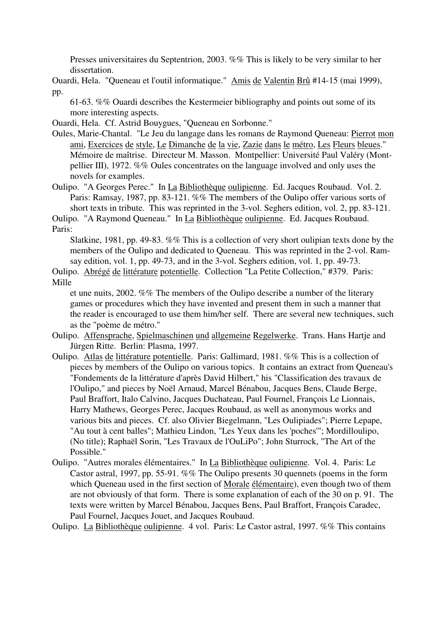Presses universitaires du Septentrion, 2003. %% This is likely to be very similar to her dissertation.

Ouardi, Hela. "Queneau et l'outil informatique." Amis de Valentin Brû #14-15 (mai 1999), pp.

61-63. %% Ouardi describes the Kestermeier bibliography and points out some of its more interesting aspects.

Ouardi, Hela. Cf. Astrid Bouygues, "Queneau en Sorbonne."

Oules, Marie-Chantal. "Le Jeu du langage dans les romans de Raymond Queneau: Pierrot mon ami, Exercices de style, Le Dimanche de la vie, Zazie dans le métro, Les Fleurs bleues." Mémoire de maîtrise. Directeur M. Masson. Montpellier: Université Paul Valéry (Montpellier III), 1972. %% Oules concentrates on the language involved and only uses the novels for examples.

Oulipo. "A Georges Perec." In La Bibliothèque oulipienne. Ed. Jacques Roubaud. Vol. 2. Paris: Ramsay, 1987, pp. 83-121. %% The members of the Oulipo offer various sorts of short texts in tribute. This was reprinted in the 3-vol. Seghers edition, vol. 2, pp. 83-121.

Oulipo. "A Raymond Queneau." In La Bibliothèque oulipienne. Ed. Jacques Roubaud. Paris:

Slatkine, 1981, pp. 49-83. %% This is a collection of very short oulipian texts done by the members of the Oulipo and dedicated to Queneau. This was reprinted in the 2-vol. Ramsay edition, vol. 1, pp. 49-73, and in the 3-vol. Seghers edition, vol. 1, pp. 49-73.

Oulipo. Abrégé de littérature potentielle. Collection "La Petite Collection," #379. Paris: Mille

et une nuits, 2002. %% The members of the Oulipo describe a number of the literary games or procedures which they have invented and present them in such a manner that the reader is encouraged to use them him/her self. There are several new techniques, such as the "poème de métro."

- Oulipo. Affensprache, Spielmaschinen und allgemeine Regelwerke. Trans. Hans Hartje and Jürgen Ritte. Berlin: Plasma, 1997.
- Oulipo. Atlas de littérature potentielle. Paris: Gallimard, 1981. %% This is a collection of pieces by members of the Oulipo on various topics. It contains an extract from Queneau's "Fondements de la littérature d'après David Hilbert," his "Classification des travaux de l'Oulipo," and pieces by Noël Arnaud, Marcel Bénabou, Jacques Bens, Claude Berge, Paul Braffort, Italo Calvino, Jacques Duchateau, Paul Fournel, François Le Lionnais, Harry Mathews, Georges Perec, Jacques Roubaud, as well as anonymous works and various bits and pieces. Cf. also Olivier Biegelmann, "Les Oulipiades"; Pierre Lepape, "Au tout à cent balles"; Mathieu Lindon, "Les Yeux dans les 'poches'"; Mordilloulipo, (No title); Raphaël Sorin, "Les Travaux de l'OuLiPo"; John Sturrock, "The Art of the Possible."
- Oulipo. "Autres morales élémentaires." In La Bibliothèque oulipienne. Vol. 4. Paris: Le Castor astral, 1997, pp. 55-91. %% The Oulipo presents 30 quennets (poems in the form which Queneau used in the first section of Morale élémentaire), even though two of them are not obviously of that form. There is some explanation of each of the 30 on p. 91. The texts were written by Marcel Bénabou, Jacques Bens, Paul Braffort, François Caradec, Paul Fournel, Jacques Jouet, and Jacques Roubaud.

Oulipo. La Bibliothèque oulipienne. 4 vol. Paris: Le Castor astral, 1997. %% This contains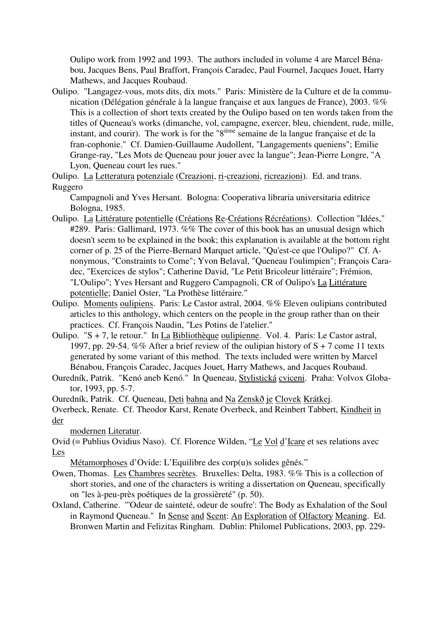Oulipo work from 1992 and 1993. The authors included in volume 4 are Marcel Bénabou, Jacques Bens, Paul Braffort, François Caradec, Paul Fournel, Jacques Jouet, Harry Mathews, and Jacques Roubaud.

- Oulipo. "Langagez-vous, mots dits, dix mots." Paris: Ministère de la Culture et de la communication (Délégation générale à la langue française et aux langues de France), 2003. %% This is a collection of short texts created by the Oulipo based on ten words taken from the titles of Queneau's works (dimanche, vol, campagne, exercer, bleu, chiendent, rude, mille, instant, and courir). The work is for the "8<sup>ième</sup> semaine de la langue française et de la fran-cophonie." Cf. Damien-Guillaume Audollent, "Langagements queniens"; Emilie Grange-ray, "Les Mots de Queneau pour jouer avec la langue"; Jean-Pierre Longre, "A Lyon, Queneau court les rues."
- Oulipo. La Letteratura potenziale (Creazioni, ri-creazioni, ricreazioni). Ed. and trans. Ruggero

Campagnoli and Yves Hersant. Bologna: Cooperativa libraria universitaria editrice Bologna, 1985.

- Oulipo. La Littérature potentielle (Créations Re-Créations Récréations). Collection "Idées," #289. Paris: Gallimard, 1973. %% The cover of this book has an unusual design which doesn't seem to be explained in the book; this explanation is available at the bottom right corner of p. 25 of the Pierre-Bernard Marquet article, "Qu'est-ce que l'Oulipo?" Cf. Anonymous, "Constraints to Come"; Yvon Belaval, "Queneau l'oulimpien"; François Caradec, "Exercices de stylos"; Catherine David, "Le Petit Bricoleur littéraire"; Frémion, "L'Oulipo"; Yves Hersant and Ruggero Campagnoli, CR of Oulipo's La Littérature potentielle; Daniel Oster, "La Prothèse littéraire."
- Oulipo. Moments oulipiens. Paris: Le Castor astral, 2004. %% Eleven oulipians contributed articles to this anthology, which centers on the people in the group rather than on their practices. Cf. François Naudin, "Les Potins de l'atelier."
- Oulipo. "S + 7, le retour." In La Bibliothèque oulipienne. Vol. 4. Paris: Le Castor astral, 1997, pp. 29-54. %% After a brief review of the oulipian history of  $S + 7$  come 11 texts generated by some variant of this method. The texts included were written by Marcel Bénabou, François Caradec, Jacques Jouet, Harry Mathews, and Jacques Roubaud.
- Ouredník, Patrik. "Kenó aneb Kenó." In Queneau, Stylistická cviceni. Praha: Volvox Globator, 1993, pp. 5-7.

Ouredník, Patrik. Cf. Queneau, Deti bahna and Na Zenskð je Clovek Krátkej.

Overbeck, Renate. Cf. Theodor Karst, Renate Overbeck, and Reinbert Tabbert, Kindheit in der

modernen Literatur.

Ovid (= Publius Ovidius Naso). Cf. Florence Wilden, "Le Vol d'Icare et ses relations avec Les

Métamorphoses d'Ovide: L'Equilibre des corp(u)s solides gênés."

- Owen, Thomas. Les Chambres secrètes. Bruxelles: Delta, 1983. %% This is a collection of short stories, and one of the characters is writing a dissertation on Queneau, specifically on "les à-peu-près poétiques de la grossièreté" (p. 50).
- Oxland, Catherine. "'Odeur de sainteté, odeur de soufre': The Body as Exhalation of the Soul in Raymond Queneau." In Sense and Scent: An Exploration of Olfactory Meaning. Ed. Bronwen Martin and Felizitas Ringham. Dublin: Philomel Publications, 2003, pp. 229-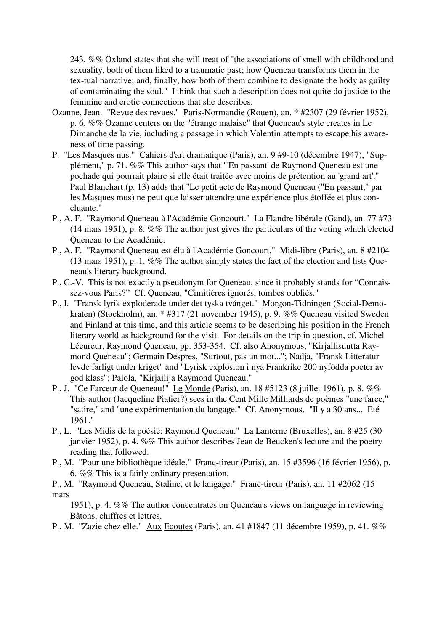243. %% Oxland states that she will treat of "the associations of smell with childhood and sexuality, both of them liked to a traumatic past; how Queneau transforms them in the tex-tual narrative; and, finally, how both of them combine to designate the body as guilty of contaminating the soul." I think that such a description does not quite do justice to the feminine and erotic connections that she describes.

- Ozanne, Jean. "Revue des revues." Paris-Normandie (Rouen), an. \* #2307 (29 février 1952), p. 6. %% Ozanne centers on the "étrange malaise" that Queneau's style creates in Le Dimanche de la vie, including a passage in which Valentin attempts to escape his awareness of time passing.
- P. "Les Masques nus." Cahiers d'art dramatique (Paris), an. 9 #9-10 (décembre 1947), "Supplément," p. 71. %% This author says that "'En passant' de Raymond Queneau est une pochade qui pourrait plaire si elle était traitée avec moins de prétention au 'grand art'." Paul Blanchart (p. 13) adds that "Le petit acte de Raymond Queneau ("En passant," par les Masques mus) ne peut que laisser attendre une expérience plus étoffée et plus concluante."
- P., A. F. "Raymond Queneau à l'Académie Goncourt." La Flandre libérale (Gand), an. 77 #73 (14 mars 1951), p. 8. %% The author just gives the particulars of the voting which elected Queneau to the Académie.
- P., A. F. "Raymond Queneau est élu à l'Académie Goncourt." Midi-libre (Paris), an. 8 #2104 (13 mars 1951), p. 1. %% The author simply states the fact of the election and lists Queneau's literary background.
- P., C.-V. This is not exactly a pseudonym for Queneau, since it probably stands for "Connaissez-vous Paris?" Cf. Queneau, "Cimitières ignorés, tombes oubliés."
- P., I. "Fransk lyrik exploderade under det tyska tvånget." Morgon-Tidningen (Social-Demokraten) (Stockholm), an. \* #317 (21 november 1945), p. 9. %% Queneau visited Sweden and Finland at this time, and this article seems to be describing his position in the French literary world as background for the visit. For details on the trip in question, cf. Michel Lécureur, Raymond Queneau, pp. 353-354. Cf. also Anonymous, "Kirjallisuutta Raymond Queneau"; Germain Despres, "Surtout, pas un mot..."; Nadja, "Fransk Litteratur levde farligt under kriget" and "Lyrisk explosion i nya Frankrike 200 nyfödda poeter av god klass"; Palola, "Kirjailija Raymond Queneau."
- P., J. "Ce Farceur de Queneau!" Le Monde (Paris), an. 18 #5123 (8 juillet 1961), p. 8. %% This author (Jacqueline Piatier?) sees in the Cent Mille Milliards de poèmes "une farce," "satire," and "une expérimentation du langage." Cf. Anonymous. "Il y a 30 ans... Eté 1961."
- P., L. "Les Midis de la poésie: Raymond Queneau." La Lanterne (Bruxelles), an. 8 #25 (30 janvier 1952), p. 4. %% This author describes Jean de Beucken's lecture and the poetry reading that followed.
- P., M. "Pour une bibliothèque idéale." Franc-tireur (Paris), an. 15 #3596 (16 février 1956), p. 6. %% This is a fairly ordinary presentation.

P., M. "Raymond Queneau, Staline, et le langage." Franc-tireur (Paris), an. 11 #2062 (15 mars

1951), p. 4. %% The author concentrates on Queneau's views on language in reviewing Bâtons, chiffres et lettres.

P., M. "Zazie chez elle." Aux Ecoutes (Paris), an. 41 #1847 (11 décembre 1959), p. 41. %%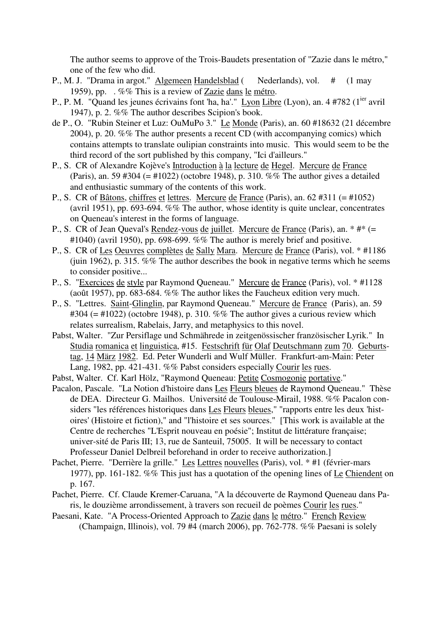The author seems to approve of the Trois-Baudets presentation of "Zazie dans le métro," one of the few who did.

- P., M. J. "Drama in argot." Algemeen Handelsblad ( Nederlands), vol. # (1 may 1959), pp. . %% This is a review of Zazie dans le métro.
- P., P. M. "Quand les jeunes écrivains font 'ha, ha'." Lyon Libre (Lyon), an. 4 #782 (1<sup>ier</sup> avril 1947), p. 2. %% The author describes Scipion's book.
- de P., O. "Rubin Steiner et Luz: OuMuPo 3." Le Monde (Paris), an. 60 #18632 (21 décembre 2004), p. 20. %% The author presents a recent CD (with accompanying comics) which contains attempts to translate oulipian constraints into music. This would seem to be the third record of the sort published by this company, "Ici d'ailleurs."
- P., S. CR of Alexandre Kojève's Introduction à la lecture de Hegel. Mercure de France (Paris), an. 59 #304 (= #1022) (octobre 1948), p. 310. %% The author gives a detailed and enthusiastic summary of the contents of this work.
- P., S. CR of Bâtons, chiffres et lettres. Mercure de France (Paris), an. 62 #311 (= #1052) (avril 1951), pp. 693-694. %% The author, whose identity is quite unclear, concentrates on Queneau's interest in the forms of language.
- P., S. CR of Jean Queval's Rendez-vous de juillet. Mercure de France (Paris), an. \* #\* (=  $\#1040$ ) (avril 1950), pp. 698-699. %% The author is merely brief and positive.
- P., S. CR of Les Oeuvres complètes de Sally Mara. Mercure de France (Paris), vol. \* #1186 (juin 1962), p. 315.  $\%$ % The author describes the book in negative terms which he seems to consider positive...
- P., S. "Exercices de style par Raymond Queneau." Mercure de France (Paris), vol. \* #1128 (août 1957), pp. 683-684. %% The author likes the Faucheux edition very much.
- P., S. "Lettres. Saint-Glinglin, par Raymond Queneau." Mercure de France (Paris), an. 59  $\text{\#304}$  (=  $\text{\#1022}$ ) (octobre 1948), p. 310. %% The author gives a curious review which relates surrealism, Rabelais, Jarry, and metaphysics to this novel.
- Pabst, Walter. "Zur Persiflage und Schmährede in zeitgenössischer französischer Lyrik." In Studia romanica et linguistica, #15. Festschrift für Olaf Deutschmann zum 70. Geburtstag, 14 März 1982. Ed. Peter Wunderli and Wulf Müller. Frankfurt-am-Main: Peter Lang, 1982, pp. 421-431. %% Pabst considers especially Courir les rues.
- Pabst, Walter. Cf. Karl Hölz, "Raymond Queneau: Petite Cosmogonie portative."
- Pacalon, Pascale. "La Notion d'histoire dans Les Fleurs bleues de Raymond Queneau." Thèse de DEA. Directeur G. Mailhos. Université de Toulouse-Mirail, 1988. %% Pacalon considers "les références historiques dans Les Fleurs bleues," "rapports entre les deux 'histoires' (Histoire et fiction)," and "l'histoire et ses sources." [This work is available at the Centre de recherches "L'Esprit nouveau en poésie"; Institut de littérature française; univer-sité de Paris III; 13, rue de Santeuil, 75005. It will be necessary to contact Professeur Daniel Delbreil beforehand in order to receive authorization.]
- Pachet, Pierre. "Derrière la grille." Les Lettres nouvelles (Paris), vol. \* #1 (février-mars 1977), pp. 161-182. %% This just has a quotation of the opening lines of Le Chiendent on p. 167.
- Pachet, Pierre. Cf. Claude Kremer-Caruana, "A la découverte de Raymond Queneau dans Paris, le douzième arrondissement, à travers son recueil de poèmes Courir les rues."
- Paesani, Kate. "A Process-Oriented Approach to Zazie dans le métro." French Review (Champaign, Illinois), vol. 79 #4 (march 2006), pp. 762-778. %% Paesani is solely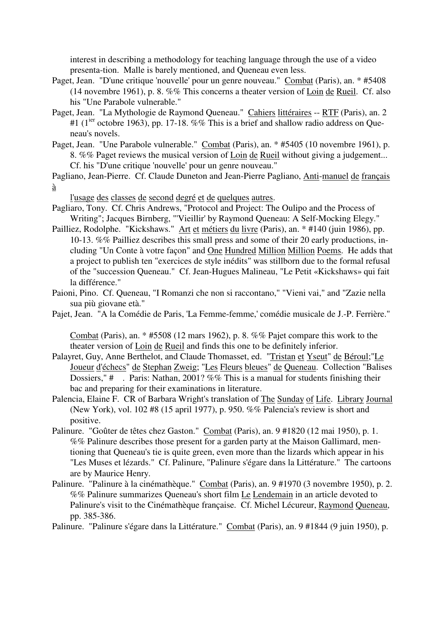interest in describing a methodology for teaching language through the use of a video presenta-tion. Malle is barely mentioned, and Queneau even less.

- Paget, Jean. "D'une critique 'nouvelle' pour un genre nouveau." Combat (Paris), an. \* #5408 (14 novembre 1961), p. 8. %% This concerns a theater version of Loin de Rueil. Cf. also his "Une Parabole vulnerable."
- Paget, Jean. "La Mythologie de Raymond Queneau." Cahiers littéraires -- RTF (Paris), an. 2 #1 ( $1^{ier}$  octobre 1963), pp. 17-18. %% This is a brief and shallow radio address on Queneau's novels.
- Paget, Jean. "Une Parabole vulnerable." Combat (Paris), an. \* #5405 (10 novembre 1961), p. 8. %% Paget reviews the musical version of Loin de Rueil without giving a judgement... Cf. his "D'une critique 'nouvelle' pour un genre nouveau."

Pagliano, Jean-Pierre. Cf. Claude Duneton and Jean-Pierre Pagliano, Anti-manuel de français à

l'usage des classes de second degré et de quelques autres.

- Pagliaro, Tony. Cf. Chris Andrews, "Protocol and Project: The Oulipo and the Process of Writing"; Jacques Birnberg, "'Vieillir' by Raymond Queneau: A Self-Mocking Elegy."
- Pailliez, Rodolphe. "Kickshaws." Art et métiers du livre (Paris), an. \* #140 (juin 1986), pp. 10-13. %% Pailliez describes this small press and some of their 20 early productions, including "Un Conte à votre façon" and One Hundred Million Million Poems. He adds that a project to publish ten "exercices de style inédits" was stillborn due to the formal refusal of the "succession Queneau." Cf. Jean-Hugues Malineau, "Le Petit «Kickshaws» qui fait la différence."
- Paioni, Pino. Cf. Queneau, "I Romanzi che non si raccontano," "Vieni vai," and "Zazie nella sua più giovane età."
- Pajet, Jean. "A la Comédie de Paris, 'La Femme-femme,' comédie musicale de J.-P. Ferrière."

Combat (Paris), an. \* #5508 (12 mars 1962), p. 8. %% Pajet compare this work to the theater version of Loin de Rueil and finds this one to be definitely inferior.

- Palayret, Guy, Anne Berthelot, and Claude Thomasset, ed. "Tristan et Yseut" de Béroul;"Le Joueur d'échecs" de Stephan Zweig; "Les Fleurs bleues" de Queneau. Collection "Balises Dossiers," # . Paris: Nathan, 2001? %% This is a manual for students finishing their bac and preparing for their examinations in literature.
- Palencia, Elaine F. CR of Barbara Wright's translation of The Sunday of Life. Library Journal (New York), vol. 102 #8 (15 april 1977), p. 950. %% Palencia's review is short and positive.
- Palinure. "Goûter de têtes chez Gaston." Combat (Paris), an. 9 #1820 (12 mai 1950), p. 1. %% Palinure describes those present for a garden party at the Maison Gallimard, mentioning that Queneau's tie is quite green, even more than the lizards which appear in his "Les Muses et lézards." Cf. Palinure, "Palinure s'égare dans la Littérature." The cartoons are by Maurice Henry.
- Palinure. "Palinure à la cinémathèque." Combat (Paris), an. 9 #1970 (3 novembre 1950), p. 2. %% Palinure summarizes Queneau's short film Le Lendemain in an article devoted to Palinure's visit to the Cinémathèque française. Cf. Michel Lécureur, Raymond Queneau, pp. 385-386.

Palinure. "Palinure s'égare dans la Littérature." Combat (Paris), an. 9 #1844 (9 juin 1950), p.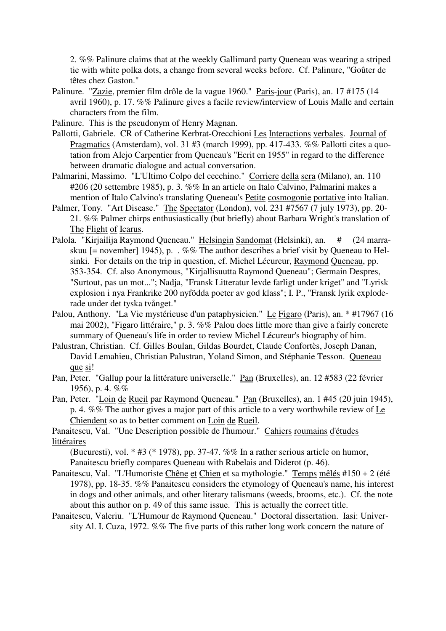2. %% Palinure claims that at the weekly Gallimard party Queneau was wearing a striped tie with white polka dots, a change from several weeks before. Cf. Palinure, "Goûter de têtes chez Gaston."

Palinure. "Zazie, premier film drôle de la vague 1960." Paris-jour (Paris), an. 17 #175 (14 avril 1960), p. 17. %% Palinure gives a facile review/interview of Louis Malle and certain characters from the film.

Palinure. This is the pseudonym of Henry Magnan.

- Pallotti, Gabriele. CR of Catherine Kerbrat-Orecchioni Les Interactions verbales. Journal of Pragmatics (Amsterdam), vol. 31 #3 (march 1999), pp. 417-433. %% Pallotti cites a quotation from Alejo Carpentier from Queneau's "Ecrit en 1955" in regard to the difference between dramatic dialogue and actual conversation.
- Palmarini, Massimo. "L'Ultimo Colpo del cecchino." Corriere della sera (Milano), an. 110 #206 (20 settembre 1985), p. 3. %% In an article on Italo Calvino, Palmarini makes a mention of Italo Calvino's translating Queneau's Petite cosmogonie portative into Italian.
- Palmer, Tony. "Art Disease." The Spectator (London), vol. 231 #7567 (7 july 1973), pp. 20- 21. %% Palmer chirps enthusiastically (but briefly) about Barbara Wright's translation of The Flight of Icarus.
- Palola. "Kirjailija Raymond Queneau." Helsingin Sandomat (Helsinki), an. # (24 marraskuu [= november] 1945), p. . %% The author describes a brief visit by Queneau to Helsinki. For details on the trip in question, cf. Michel Lécureur, Raymond Queneau, pp. 353-354. Cf. also Anonymous, "Kirjallisuutta Raymond Queneau"; Germain Despres, "Surtout, pas un mot..."; Nadja, "Fransk Litteratur levde farligt under kriget" and "Lyrisk explosion i nya Frankrike 200 nyfödda poeter av god klass"; I. P., "Fransk lyrik exploderade under det tyska tvånget."
- Palou, Anthony. "La Vie mystérieuse d'un pataphysicien." Le Figaro (Paris), an. \* #17967 (16 mai 2002), "Figaro littéraire," p. 3. %% Palou does little more than give a fairly concrete summary of Queneau's life in order to review Michel Lécureur's biography of him.
- Palustran, Christian. Cf. Gilles Boulan, Gildas Bourdet, Claude Confortès, Joseph Danan, David Lemahieu, Christian Palustran, Yoland Simon, and Stéphanie Tesson. Queneau que si!
- Pan, Peter. "Gallup pour la littérature universelle." Pan (Bruxelles), an. 12 #583 (22 février 1956), p. 4. %%
- Pan, Peter. "Loin de Rueil par Raymond Queneau." Pan (Bruxelles), an. 1 #45 (20 juin 1945), p. 4. %% The author gives a major part of this article to a very worthwhile review of Le Chiendent so as to better comment on Loin de Rueil.

Panaitescu, Val. "Une Description possible de l'humour." Cahiers roumains d'études littéraires

(Bucuresti), vol. \* #3 (\* 1978), pp. 37-47. %% In a rather serious article on humor, Panaitescu briefly compares Queneau with Rabelais and Diderot (p. 46).

- Panaitescu, Val. "L'Humoriste Chêne et Chien et sa mythologie." Temps mêlés #150 + 2 (été 1978), pp. 18-35. %% Panaitescu considers the etymology of Queneau's name, his interest in dogs and other animals, and other literary talismans (weeds, brooms, etc.). Cf. the note about this author on p. 49 of this same issue. This is actually the correct title.
- Panaitescu, Valeriu. "L'Humour de Raymond Queneau." Doctoral dissertation. Iasi: University Al. I. Cuza, 1972. %% The five parts of this rather long work concern the nature of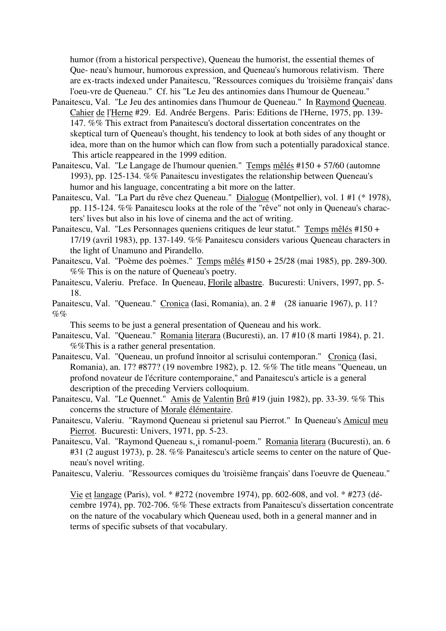humor (from a historical perspective), Queneau the humorist, the essential themes of Que- neau's humour, humorous expression, and Queneau's humorous relativism. There are ex-tracts indexed under Panaitescu, "Ressources comiques du 'troisième français' dans l'oeu-vre de Queneau." Cf. his "Le Jeu des antinomies dans l'humour de Queneau."

- Panaitescu, Val. "Le Jeu des antinomies dans l'humour de Queneau." In Raymond Queneau. Cahier de l'Herne #29. Ed. Andrée Bergens. Paris: Editions de l'Herne, 1975, pp. 139- 147. %% This extract from Panaitescu's doctoral dissertation concentrates on the skeptical turn of Queneau's thought, his tendency to look at both sides of any thought or idea, more than on the humor which can flow from such a potentially paradoxical stance. This article reappeared in the 1999 edition.
- Panaitescu, Val. "Le Langage de l'humour quenien." Temps mêlés #150 + 57/60 (automne 1993), pp. 125-134. %% Panaitescu investigates the relationship between Queneau's humor and his language, concentrating a bit more on the latter.
- Panaitescu, Val. "La Part du rêve chez Queneau." Dialogue (Montpellier), vol. 1 #1 (\* 1978), pp. 115-124. %% Panaitescu looks at the role of the "rêve" not only in Queneau's characters' lives but also in his love of cinema and the act of writing.
- Panaitescu, Val. "Les Personnages queniens critiques de leur statut." Temps mêlés #150 + 17/19 (avril 1983), pp. 137-149. %% Panaitescu considers various Queneau characters in the light of Unamuno and Pirandello.
- Panaitescu, Val. "Poème des poèmes." Temps mêlés #150 + 25/28 (mai 1985), pp. 289-300. %% This is on the nature of Queneau's poetry.
- Panaitescu, Valeriu. Preface. In Queneau, Florile albastre. Bucuresti: Univers, 1997, pp. 5- 18.
- Panaitescu, Val. "Queneau." Cronica (Iasi, Romania), an. 2 # (28 ianuarie 1967), p. 11?  $\%$ %

This seems to be just a general presentation of Queneau and his work.

- Panaitescu, Val. "Queneau." Romania literara (Bucuresti), an. 17 #10 (8 marti 1984), p. 21. %%This is a rather general presentation.
- Panaitescu, Val. "Queneau, un profund înnoitor al scrisului contemporan." Cronica (Iasi, Romania), an. 17? #877? (19 novembre 1982), p. 12. %% The title means "Queneau, un profond novateur de l'écriture contemporaine," and Panaitescu's article is a general description of the preceding Verviers colloquium.
- Panaitescu, Val. "Le Quennet." Amis de Valentin Brû #19 (juin 1982), pp. 33-39. %% This concerns the structure of Morale élémentaire.
- Panaitescu, Valeriu. "Raymond Queneau si prietenul sau Pierrot." In Queneau's Amicul meu Pierrot. Bucuresti: Univers, 1971, pp. 5-23.
- Panaitescu, Val. "Raymond Queneau s,¸i romanul-poem." Romania literara (Bucuresti), an. 6 #31 (2 august 1973), p. 28. %% Panaitescu's article seems to center on the nature of Queneau's novel writing.
- Panaitescu, Valeriu. "Ressources comiques du 'troisième français' dans l'oeuvre de Queneau."

Vie et langage (Paris), vol. \* #272 (novembre 1974), pp. 602-608, and vol. \* #273 (décembre 1974), pp. 702-706. %% These extracts from Panaitescu's dissertation concentrate on the nature of the vocabulary which Queneau used, both in a general manner and in terms of specific subsets of that vocabulary.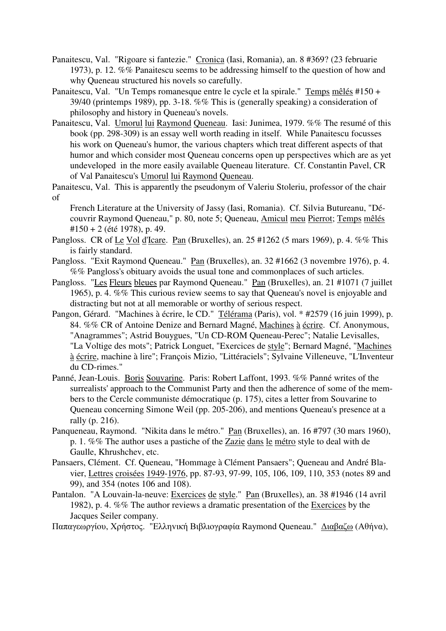- Panaitescu, Val. "Rigoare si fantezie." Cronica (Iasi, Romania), an. 8 #369? (23 februarie 1973), p. 12. %% Panaitescu seems to be addressing himself to the question of how and why Queneau structured his novels so carefully.
- Panaitescu, Val. "Un Temps romanesque entre le cycle et la spirale." Temps mêlés #150 + 39/40 (printemps 1989), pp. 3-18. %% This is (generally speaking) a consideration of philosophy and history in Queneau's novels.
- Panaitescu, Val. Umorul lui Raymond Queneau. Iasi: Junimea, 1979. %% The resumé of this book (pp. 298-309) is an essay well worth reading in itself. While Panaitescu focusses his work on Queneau's humor, the various chapters which treat different aspects of that humor and which consider most Queneau concerns open up perspectives which are as yet undeveloped in the more easily available Queneau literature. Cf. Constantin Pavel, CR of Val Panaitescu's Umorul lui Raymond Queneau.
- Panaitescu, Val. This is apparently the pseudonym of Valeriu Stoleriu, professor of the chair of

French Literature at the University of Jassy (Iasi, Romania). Cf. Silvia Butureanu, "Découvrir Raymond Queneau," p. 80, note 5; Queneau, Amicul meu Pierrot; Temps mêlés #150 + 2 (été 1978), p. 49.

- Pangloss. CR of Le Vol d'Icare. Pan (Bruxelles), an. 25 #1262 (5 mars 1969), p. 4. %% This is fairly standard.
- Pangloss. "Exit Raymond Queneau." Pan (Bruxelles), an. 32 #1662 (3 novembre 1976), p. 4. %% Pangloss's obituary avoids the usual tone and commonplaces of such articles.
- Pangloss. "Les Fleurs bleues par Raymond Queneau." Pan (Bruxelles), an. 21 #1071 (7 juillet 1965), p. 4. %% This curious review seems to say that Queneau's novel is enjoyable and distracting but not at all memorable or worthy of serious respect.
- Pangon, Gérard. "Machines à écrire, le CD." Télérama (Paris), vol. \* #2579 (16 juin 1999), p. 84. %% CR of Antoine Denize and Bernard Magné, Machines à écrire. Cf. Anonymous, "Anagrammes"; Astrid Bouygues, "Un CD-ROM Queneau-Perec"; Natalie Levisalles, "La Voltige des mots"; Patrick Longuet, "Exercices de style"; Bernard Magné, "Machines à écrire, machine à lire"; François Mizio, "Littéraciels"; Sylvaine Villeneuve, "L'Inventeur du CD-rimes."
- Panné, Jean-Louis. Boris Souvarine. Paris: Robert Laffont, 1993. %% Panné writes of the surrealists' approach to the Communist Party and then the adherence of some of the members to the Cercle communiste démocratique (p. 175), cites a letter from Souvarine to Queneau concerning Simone Weil (pp. 205-206), and mentions Queneau's presence at a rally (p. 216).
- Panqueneau, Raymond. "Nikita dans le métro." Pan (Bruxelles), an. 16 #797 (30 mars 1960), p. 1. %% The author uses a pastiche of the Zazie dans le métro style to deal with de Gaulle, Khrushchev, etc.
- Pansaers, Clément. Cf. Queneau, "Hommage à Clément Pansaers"; Queneau and André Blavier, Lettres croisées 1949-1976, pp. 87-93, 97-99, 105, 106, 109, 110, 353 (notes 89 and 99), and 354 (notes 106 and 108).
- Pantalon. "A Louvain-la-neuve: Exercices de style." Pan (Bruxelles), an. 38 #1946 (14 avril 1982), p. 4. %% The author reviews a dramatic presentation of the Exercices by the Jacques Seiler company.

Παπαγεωργίoυ, Χρήστoς. "Ελληvική Βιβλιoγραφία Raymond Queneau." ∆ιαβαζω (Αθήvα),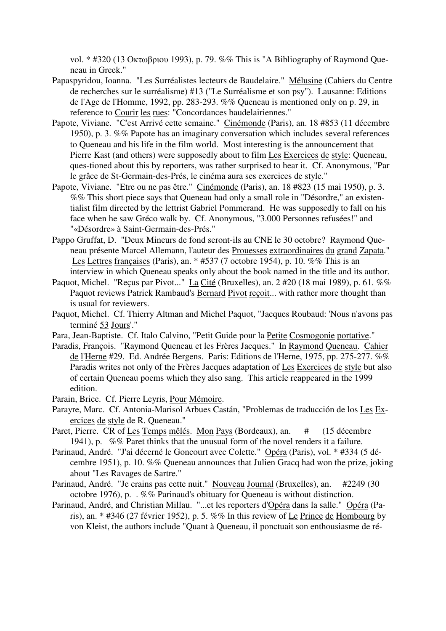vol. \* #320 (13 Οκτωβριoυ 1993), p. 79. %% This is "A Bibliography of Raymond Queneau in Greek."

- Papaspyridou, Ioanna. "Les Surréalistes lecteurs de Baudelaire." Mélusine (Cahiers du Centre de recherches sur le surréalisme) #13 ("Le Surréalisme et son psy"). Lausanne: Editions de l'Age de l'Homme, 1992, pp. 283-293. %% Queneau is mentioned only on p. 29, in reference to Courir les rues: "Concordances baudelairiennes."
- Papote, Viviane. "C'est Arrivé cette semaine." Cinémonde (Paris), an. 18 #853 (11 décembre 1950), p. 3. %% Papote has an imaginary conversation which includes several references to Queneau and his life in the film world. Most interesting is the announcement that Pierre Kast (and others) were supposedly about to film Les Exercices de style: Queneau, ques-tioned about this by reporters, was rather surprised to hear it. Cf. Anonymous, "Par le grâce de St-Germain-des-Prés, le cinéma aura ses exercices de style."
- Papote, Viviane. "Etre ou ne pas être." Cinémonde (Paris), an. 18 #823 (15 mai 1950), p. 3. %% This short piece says that Queneau had only a small role in "Désordre," an existentialist film directed by the lettrist Gabriel Pommerand. He was supposedly to fall on his face when he saw Gréco walk by. Cf. Anonymous, "3.000 Personnes refusées!" and "«Désordre» à Saint-Germain-des-Prés."
- Pappo Gruffat, D. "Deux Mineurs de fond seront-ils au CNE le 30 octobre? Raymond Queneau présente Marcel Allemann, l'auteur des Prouesses extraordinaires du grand Zapata." Les Lettres françaises (Paris), an. \* #537 (7 octobre 1954), p. 10. %% This is an interview in which Queneau speaks only about the book named in the title and its author.
- Paquot, Michel. "Reçus par Pivot..." La Cité (Bruxelles), an. 2 #20 (18 mai 1989), p. 61. %% Paquot reviews Patrick Rambaud's Bernard Pivot reçoit... with rather more thought than is usual for reviewers.
- Paquot, Michel. Cf. Thierry Altman and Michel Paquot, "Jacques Roubaud: 'Nous n'avons pas terminé 53 Jours'."
- Para, Jean-Baptiste. Cf. Italo Calvino, "Petit Guide pour la Petite Cosmogonie portative."
- Paradis, François. "Raymond Queneau et les Frères Jacques." In Raymond Queneau. Cahier de l'Herne #29. Ed. Andrée Bergens. Paris: Editions de l'Herne, 1975, pp. 275-277. %% Paradis writes not only of the Frères Jacques adaptation of Les Exercices de style but also of certain Queneau poems which they also sang. This article reappeared in the 1999 edition.
- Parain, Brice. Cf. Pierre Leyris, Pour Mémoire.
- Parayre, Marc. Cf. Antonia-Marisol Arbues Castán, "Problemas de traducción de los Les Exercices de style de R. Queneau."
- Paret, Pierre. CR of Les Temps mêlés. Mon Pays (Bordeaux), an. # (15 décembre 1941), p. %% Paret thinks that the unusual form of the novel renders it a failure.
- Parinaud, André. "J'ai décerné le Goncourt avec Colette." Opéra (Paris), vol. \* #334 (5 décembre 1951), p. 10. %% Queneau announces that Julien Gracq had won the prize, joking about "Les Ravages de Sartre."
- Parinaud, André. "Je crains pas cette nuit." Nouveau Journal (Bruxelles), an. #2249 (30 octobre 1976), p. . %% Parinaud's obituary for Queneau is without distinction.
- Parinaud, André, and Christian Millau. "...et les reporters d'Opéra dans la salle." Opéra (Paris), an. \* #346 (27 février 1952), p. 5. %% In this review of Le Prince de Hombourg by von Kleist, the authors include "Quant à Queneau, il ponctuait son enthousiasme de ré-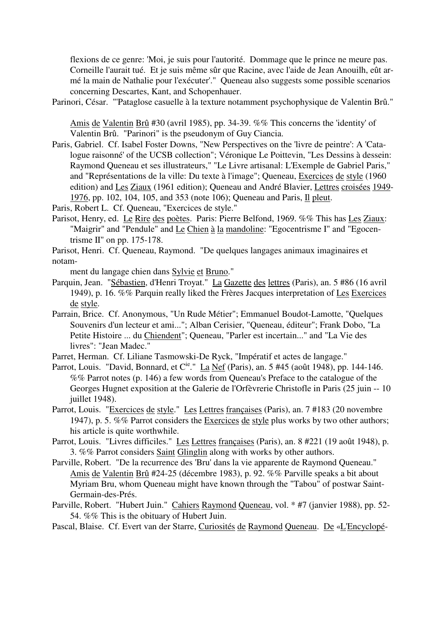flexions de ce genre: 'Moi, je suis pour l'autorité. Dommage que le prince ne meure pas. Corneille l'aurait tué. Et je suis même sûr que Racine, avec l'aide de Jean Anouilh, eût armé la main de Nathalie pour l'exécuter'." Queneau also suggests some possible scenarios concerning Descartes, Kant, and Schopenhauer.

Parinori, César. "'Pataglose casuelle à la texture notamment psychophysique de Valentin Brû."

Amis de Valentin Brû #30 (avril 1985), pp. 34-39. %% This concerns the 'identity' of Valentin Brû. "Parinori" is the pseudonym of Guy Ciancia.

Paris, Gabriel. Cf. Isabel Foster Downs, "New Perspectives on the 'livre de peintre': A 'Catalogue raisonné' of the UCSB collection"; Véronique Le Poittevin, "Les Dessins à dessein: Raymond Queneau et ses illustrateurs," "Le Livre artisanal: L'Exemple de Gabriel Paris," and "Représentations de la ville: Du texte à l'image"; Queneau, Exercices de style (1960 edition) and Les Ziaux (1961 edition); Queneau and André Blavier, Lettres croisées 1949- 1976, pp. 102, 104, 105, and 353 (note 106); Queneau and Paris, Il pleut.

Paris, Robert L. Cf. Queneau, "Exercices de style."

- Parisot, Henry, ed. Le Rire des poètes. Paris: Pierre Belfond, 1969. %% This has Les Ziaux: "Maigrir" and "Pendule" and Le Chien à la mandoline: "Egocentrisme I" and "Egocentrisme II" on pp. 175-178.
- Parisot, Henri. Cf. Queneau, Raymond. "De quelques langages animaux imaginaires et notam-

ment du langage chien dans Sylvie et Bruno."

- Parquin, Jean. "Sébastien, d'Henri Troyat." La Gazette des lettres (Paris), an. 5 #86 (16 avril 1949), p. 16. %% Parquin really liked the Frères Jacques interpretation of Les Exercices de style.
- Parrain, Brice. Cf. Anonymous, "Un Rude Métier"; Emmanuel Boudot-Lamotte, "Quelques Souvenirs d'un lecteur et ami..."; Alban Cerisier, "Queneau, éditeur"; Frank Dobo, "La Petite Histoire ... du Chiendent"; Queneau, "Parler est incertain..." and "La Vie des livres": "Jean Madec."
- Parret, Herman. Cf. Liliane Tasmowski-De Ryck, "Impératif et actes de langage."
- Parrot, Louis. "David, Bonnard, et C<sup>ie.</sup>" La Nef (Paris), an. 5 #45 (août 1948), pp. 144-146. %% Parrot notes (p. 146) a few words from Queneau's Preface to the catalogue of the Georges Hugnet exposition at the Galerie de l'Orfèvrerie Christofle in Paris (25 juin -- 10 juillet 1948).
- Parrot, Louis. "Exercices de style." Les Lettres françaises (Paris), an. 7 #183 (20 novembre 1947), p. 5. %% Parrot considers the Exercices de style plus works by two other authors; his article is quite worthwhile.
- Parrot, Louis. "Livres difficiles." Les Lettres françaises (Paris), an. 8 #221 (19 août 1948), p. 3. %% Parrot considers Saint Glinglin along with works by other authors.
- Parville, Robert. "De la recurrence des 'Bru' dans la vie apparente de Raymond Queneau." Amis de Valentin Brû #24-25 (décembre 1983), p. 92. %% Parville speaks a bit about Myriam Bru, whom Queneau might have known through the "Tabou" of postwar Saint-Germain-des-Prés.
- Parville, Robert. "Hubert Juin." Cahiers Raymond Queneau, vol. \* #7 (janvier 1988), pp. 52- 54. %% This is the obituary of Hubert Juin.

Pascal, Blaise. Cf. Evert van der Starre, Curiosités de Raymond Queneau. De «L'Encyclopé-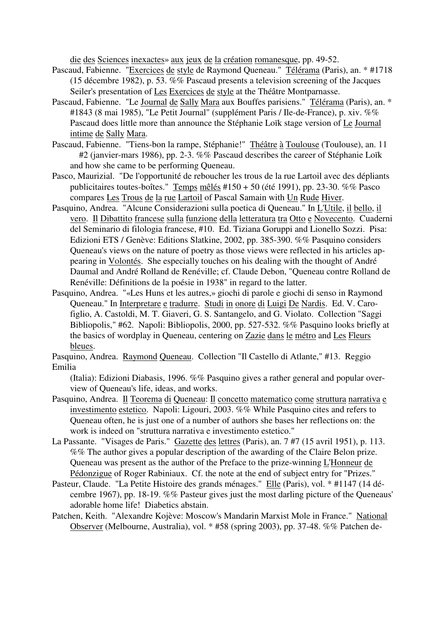die des Sciences inexactes» aux jeux de la création romanesque, pp. 49-52.

- Pascaud, Fabienne. "Exercices de style de Raymond Queneau." Télérama (Paris), an. \* #1718 (15 décembre 1982), p. 53. %% Pascaud presents a television screening of the Jacques Seiler's presentation of Les Exercices de style at the Théâtre Montparnasse.
- Pascaud, Fabienne. "Le Journal de Sally Mara aux Bouffes parisiens." Télérama (Paris), an. \* #1843 (8 mai 1985), "Le Petit Journal" (supplément Paris / Ile-de-France), p. xiv. %% Pascaud does little more than announce the Stéphanie Loïk stage version of Le Journal intime de Sally Mara.
- Pascaud, Fabienne. "Tiens-bon la rampe, Stéphanie!" Théâtre à Toulouse (Toulouse), an. 11 #2 (janvier-mars 1986), pp. 2-3. %% Pascaud describes the career of Stéphanie Loïk and how she came to be performing Queneau.
- Pasco, Maurizial. "De l'opportunité de reboucher les trous de la rue Lartoil avec des dépliants publicitaires toutes-boîtes." Temps mêlés #150 + 50 (été 1991), pp. 23-30. %% Pasco compares Les Trous de la rue Lartoil of Pascal Samain with Un Rude Hiver.
- Pasquino, Andrea. "Alcune Considerazioni sulla poetica di Queneau." In L'Utile, il bello, il vero. Il Dibattito francese sulla funzione della letteratura tra Otto e Novecento. Cuaderni del Seminario di filologia francese, #10. Ed. Tiziana Goruppi and Lionello Sozzi. Pisa: Edizioni ETS / Genève: Editions Slatkine, 2002, pp. 385-390. %% Pasquino considers Queneau's views on the nature of poetry as those views were reflected in his articles appearing in Volontés. She especially touches on his dealing with the thought of André Daumal and André Rolland de Renéville; cf. Claude Debon, "Queneau contre Rolland de Renéville: Définitions de la poésie in 1938" in regard to the latter.
- Pasquino, Andrea. "«Les Huns et les autres,» giochi di parole e giochi di senso in Raymond Queneau." In Interpretare e tradurre. Studi in onore di Luigi De Nardis. Ed. V. Carofiglio, A. Castoldi, M. T. Giaveri, G. S. Santangelo, and G. Violato. Collection "Saggi Bibliopolis," #62. Napoli: Bibliopolis, 2000, pp. 527-532. %% Pasquino looks briefly at the basics of wordplay in Queneau, centering on Zazie dans le métro and Les Fleurs bleues.
- Pasquino, Andrea. Raymond Queneau. Collection "Il Castello di Atlante," #13. Reggio Emilia

(Italia): Edizioni Diabasis, 1996. %% Pasquino gives a rather general and popular overview of Queneau's life, ideas, and works.

- Pasquino, Andrea. Il Teorema di Queneau: Il concetto matematico come struttura narrativa e investimento estetico. Napoli: Ligouri, 2003. %% While Pasquino cites and refers to Queneau often, he is just one of a number of authors she bases her reflections on: the work is indeed on "struttura narrativa e investimento estetico."
- La Passante. "Visages de Paris." Gazette des lettres (Paris), an. 7 #7 (15 avril 1951), p. 113. %% The author gives a popular description of the awarding of the Claire Belon prize. Queneau was present as the author of the Preface to the prize-winning L'Honneur de Pédonzigue of Roger Rabiniaux. Cf. the note at the end of subject entry for "Prizes."
- Pasteur, Claude. "La Petite Histoire des grands ménages." Elle (Paris), vol. \* #1147 (14 décembre 1967), pp. 18-19. %% Pasteur gives just the most darling picture of the Queneaus' adorable home life! Diabetics abstain.
- Patchen, Keith. "Alexandre Kojève: Moscow's Mandarin Marxist Mole in France." National Observer (Melbourne, Australia), vol. \* #58 (spring 2003), pp. 37-48. %% Patchen de-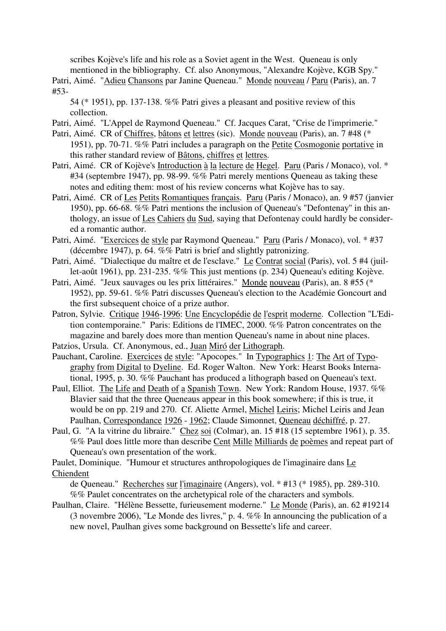scribes Kojève's life and his role as a Soviet agent in the West. Queneau is only mentioned in the bibliography. Cf. also Anonymous, "Alexandre Kojève, KGB Spy."

Patri, Aimé. "Adieu Chansons par Janine Queneau." Monde nouveau / Paru (Paris), an. 7 #53-

54 (\* 1951), pp. 137-138. %% Patri gives a pleasant and positive review of this collection.

Patri, Aimé. "L'Appel de Raymond Queneau." Cf. Jacques Carat, "Crise de l'imprimerie."

- Patri, Aimé. CR of Chiffres, bâtons et lettres (sic). Monde nouveau (Paris), an. 7 #48 (\* 1951), pp. 70-71. %% Patri includes a paragraph on the Petite Cosmogonie portative in this rather standard review of Bâtons, chiffres et lettres.
- Patri, Aimé. CR of Kojève's Introduction à la lecture de Hegel. Paru (Paris / Monaco), vol. \* #34 (septembre 1947), pp. 98-99. %% Patri merely mentions Queneau as taking these notes and editing them: most of his review concerns what Kojève has to say.
- Patri, Aimé. CR of Les Petits Romantiques français. Paru (Paris / Monaco), an. 9 #57 (janvier 1950), pp. 66-68. %% Patri mentions the inclusion of Queneau's "Defontenay" in this anthology, an issue of Les Cahiers du Sud, saying that Defontenay could hardly be considered a romantic author.
- Patri, Aimé. "Exercices de style par Raymond Queneau." Paru (Paris / Monaco), vol. \* #37 (décembre 1947), p. 64. %% Patri is brief and slightly patronizing.
- Patri, Aimé. "Dialectique du maître et de l'esclave." Le Contrat social (Paris), vol. 5 #4 (juillet-août 1961), pp. 231-235. %% This just mentions (p. 234) Queneau's editing Kojève.
- Patri, Aimé. "Jeux sauvages ou les prix littéraires." Monde nouveau (Paris), an. 8 #55 (\* 1952), pp. 59-61. %% Patri discusses Queneau's election to the Académie Goncourt and the first subsequent choice of a prize author.
- Patron, Sylvie. Critique 1946-1996: Une Encyclopédie de l'esprit moderne. Collection "L'Edition contemporaine." Paris: Editions de l'IMEC, 2000. %% Patron concentrates on the magazine and barely does more than mention Queneau's name in about nine places.

Patzios, Ursula. Cf. Anonymous, ed., Juan Miró der Lithograph.

- Pauchant, Caroline. Exercices de style: "Apocopes." In Typographics 1: The Art of Typography from Digital to Dyeline. Ed. Roger Walton. New York: Hearst Books International, 1995, p. 30. %% Pauchant has produced a lithograph based on Queneau's text.
- Paul, Elliot. The Life and Death of a Spanish Town. New York: Random House, 1937. %% Blavier said that the three Queneaus appear in this book somewhere; if this is true, it would be on pp. 219 and 270. Cf. Aliette Armel, Michel Leiris; Michel Leiris and Jean Paulhan, Correspondance 1926 - 1962; Claude Simonnet, Queneau déchiffré, p. 27.
- Paul, G. "A la vitrine du libraire." Chez soi (Colmar), an. 15 #18 (15 septembre 1961), p. 35. %% Paul does little more than describe Cent Mille Milliards de poèmes and repeat part of Queneau's own presentation of the work.

Paulet, Dominique. "Humour et structures anthropologiques de l'imaginaire dans Le Chiendent

de Queneau." Recherches sur l'imaginaire (Angers), vol. \* #13 (\* 1985), pp. 289-310. %% Paulet concentrates on the archetypical role of the characters and symbols.

Paulhan, Claire. "Hélène Bessette, furieusement moderne." Le Monde (Paris), an. 62 #19214 (3 novembre 2006), "Le Monde des livres," p. 4. %% In announcing the publication of a new novel, Paulhan gives some background on Bessette's life and career.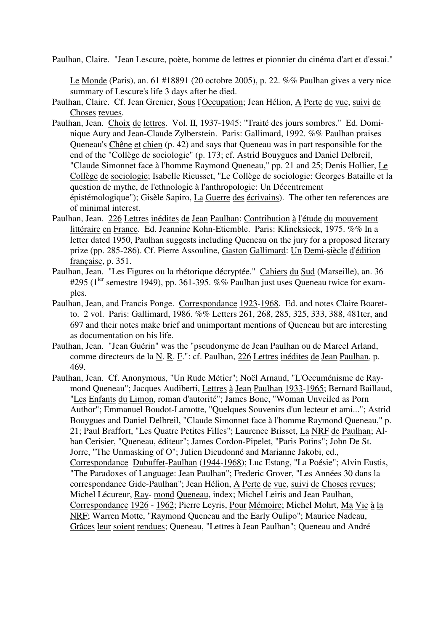Paulhan, Claire. "Jean Lescure, poète, homme de lettres et pionnier du cinéma d'art et d'essai."

Le Monde (Paris), an. 61 #18891 (20 octobre 2005), p. 22. %% Paulhan gives a very nice summary of Lescure's life 3 days after he died.

- Paulhan, Claire. Cf. Jean Grenier, Sous l'Occupation; Jean Hélion, A Perte de vue, suivi de Choses revues.
- Paulhan, Jean. Choix de lettres. Vol. II, 1937-1945: "Traité des jours sombres." Ed. Dominique Aury and Jean-Claude Zylberstein. Paris: Gallimard, 1992. %% Paulhan praises Queneau's Chêne et chien (p. 42) and says that Queneau was in part responsible for the end of the "Collège de sociologie" (p. 173; cf. Astrid Bouygues and Daniel Delbreil, "Claude Simonnet face à l'homme Raymond Queneau," pp. 21 and 25; Denis Hollier, Le Collège de sociologie; Isabelle Rieusset, "Le Collège de sociologie: Georges Bataille et la question de mythe, de l'ethnologie à l'anthropologie: Un Décentrement épistémologique"); Gisèle Sapiro, La Guerre des écrivains). The other ten references are of minimal interest.
- Paulhan, Jean. 226 Lettres inédites de Jean Paulhan: Contribution à l'étude du mouvement littéraire en France. Ed. Jeannine Kohn-Etiemble. Paris: Klincksieck, 1975. %% In a letter dated 1950, Paulhan suggests including Queneau on the jury for a proposed literary prize (pp. 285-286). Cf. Pierre Assouline, Gaston Gallimard: Un Demi-siècle d'édition française, p. 351.
- Paulhan, Jean. "Les Figures ou la rhétorique décryptée." Cahiers du Sud (Marseille), an. 36 #295 ( $1^{ier}$  semestre 1949), pp. 361-395. %% Paulhan just uses Queneau twice for examples.
- Paulhan, Jean, and Francis Ponge. Correspondance 1923-1968. Ed. and notes Claire Boaretto. 2 vol. Paris: Gallimard, 1986. %% Letters 261, 268, 285, 325, 333, 388, 481ter, and 697 and their notes make brief and unimportant mentions of Queneau but are interesting as documentation on his life.
- Paulhan, Jean. "Jean Guérin" was the "pseudonyme de Jean Paulhan ou de Marcel Arland, comme directeurs de la N. R. F.": cf. Paulhan, 226 Lettres inédites de Jean Paulhan, p. 469.
- Paulhan, Jean. Cf. Anonymous, "Un Rude Métier"; Noël Arnaud, "L'Oecuménisme de Raymond Queneau"; Jacques Audiberti, Lettres à Jean Paulhan 1933-1965; Bernard Baillaud, "Les Enfants du Limon, roman d'autorité"; James Bone, "Woman Unveiled as Porn Author"; Emmanuel Boudot-Lamotte, "Quelques Souvenirs d'un lecteur et ami..."; Astrid Bouygues and Daniel Delbreil, "Claude Simonnet face à l'homme Raymond Queneau," p. 21; Paul Braffort, "Les Quatre Petites Filles"; Laurence Brisset, La NRF de Paulhan; Alban Cerisier, "Queneau, éditeur"; James Cordon-Pipelet, "Paris Potins"; John De St. Jorre, "The Unmasking of O"; Julien Dieudonné and Marianne Jakobi, ed., Correspondance Dubuffet-Paulhan (1944-1968); Luc Estang, "La Poésie"; Alvin Eustis, "The Paradoxes of Language: Jean Paulhan"; Frederic Grover, "Les Années 30 dans la correspondance Gide-Paulhan"; Jean Hélion, A Perte de vue, suivi de Choses revues; Michel Lécureur, Ray- mond Queneau, index; Michel Leiris and Jean Paulhan, Correspondance 1926 - 1962; Pierre Leyris, Pour Mémoire; Michel Mohrt, Ma Vie à la NRF; Warren Motte, "Raymond Queneau and the Early Oulipo"; Maurice Nadeau, Grâces leur soient rendues; Queneau, "Lettres à Jean Paulhan"; Queneau and André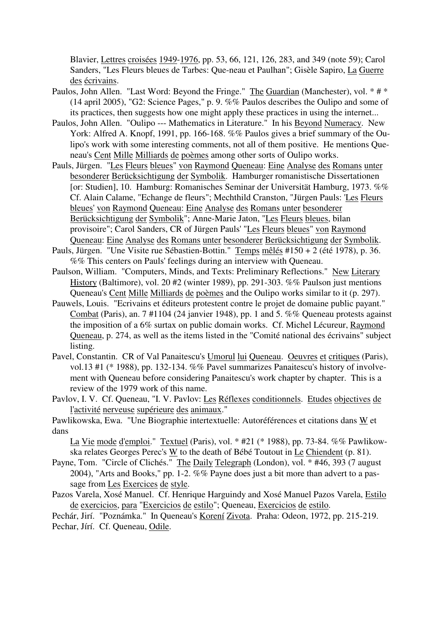Blavier, Lettres croisées 1949-1976, pp. 53, 66, 121, 126, 283, and 349 (note 59); Carol Sanders, "Les Fleurs bleues de Tarbes: Que-neau et Paulhan"; Gisèle Sapiro, La Guerre des écrivains.

- Paulos, John Allen. "Last Word: Beyond the Fringe." The Guardian (Manchester), vol. \* # \* (14 april 2005), "G2: Science Pages," p. 9. %% Paulos describes the Oulipo and some of its practices, then suggests how one might apply these practices in using the internet...
- Paulos, John Allen. "Oulipo --- Mathematics in Literature." In his Beyond Numeracy. New York: Alfred A. Knopf, 1991, pp. 166-168. %% Paulos gives a brief summary of the Oulipo's work with some interesting comments, not all of them positive. He mentions Queneau's Cent Mille Milliards de poèmes among other sorts of Oulipo works.
- Pauls, Jürgen. "Les Fleurs bleues" von Raymond Queneau: Eine Analyse des Romans unter besonderer Berücksichtigung der Symbolik. Hamburger romanistische Dissertationen [or: Studien], 10. Hamburg: Romanisches Seminar der Universität Hamburg, 1973. %% Cf. Alain Calame, "Echange de fleurs"; Mechthild Cranston, "Jürgen Pauls: 'Les Fleurs bleues' von Raymond Queneau: Eine Analyse des Romans unter besonderer Berücksichtigung der Symbolik"; Anne-Marie Jaton, "Les Fleurs bleues, bilan provisoire"; Carol Sanders, CR of Jürgen Pauls' "Les Fleurs bleues" von Raymond Queneau: Eine Analyse des Romans unter besonderer Berücksichtigung der Symbolik.
- Pauls, Jürgen. "Une Visite rue Sébastien-Bottin." Temps mêlés #150 + 2 (été 1978), p. 36. %% This centers on Pauls' feelings during an interview with Queneau.
- Paulson, William. "Computers, Minds, and Texts: Preliminary Reflections." New Literary History (Baltimore), vol. 20 #2 (winter 1989), pp. 291-303. %% Paulson just mentions Queneau's Cent Mille Milliards de poèmes and the Oulipo works similar to it (p. 297).
- Pauwels, Louis. "Ecrivains et éditeurs protestent contre le projet de domaine public payant." Combat (Paris), an. 7 #1104 (24 janvier 1948), pp. 1 and 5. %% Queneau protests against the imposition of a 6% surtax on public domain works. Cf. Michel Lécureur, Raymond Queneau, p. 274, as well as the items listed in the "Comité national des écrivains" subject listing.
- Pavel, Constantin. CR of Val Panaitescu's Umorul lui Queneau. Oeuvres et critiques (Paris), vol.13 #1 (\* 1988), pp. 132-134. %% Pavel summarizes Panaitescu's history of involvement with Queneau before considering Panaitescu's work chapter by chapter. This is a review of the 1979 work of this name.
- Pavlov, I. V. Cf. Queneau, "I. V. Pavlov: Les Réflexes conditionnels. Etudes objectives de l'activité nerveuse supérieure des animaux."
- Pawlikowska, Ewa. "Une Biographie intertextuelle: Autoréférences et citations dans W et dans

La Vie mode d'emploi." Textuel (Paris), vol. \* #21 (\* 1988), pp. 73-84. %% Pawlikowska relates Georges Perec's W to the death of Bébé Toutout in Le Chiendent (p. 81).

- Payne, Tom. "Circle of Clichés." The Daily Telegraph (London), vol. \* #46, 393 (7 august 2004), "Arts and Books," pp. 1-2. %% Payne does just a bit more than advert to a passage from Les Exercices de style.
- Pazos Varela, Xosé Manuel. Cf. Henrique Harguindy and Xosé Manuel Pazos Varela, Estilo de exercicios, para "Exercicios de estilo"; Queneau, Exercicios de estilo.

Pechár, Jirí. "Poznámka." In Queneau's Korení Zivota. Praha: Odeon, 1972, pp. 215-219. Pechar, Jírí. Cf. Queneau, Odile.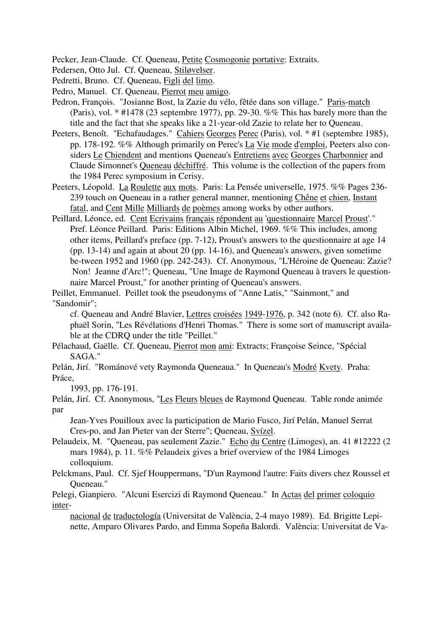Pecker, Jean-Claude. Cf. Queneau, Petite Cosmogonie portative: Extraits.

Pedersen, Otto Jul. Cf. Queneau, Stiløvelser.

Pedretti, Bruno. Cf. Queneau, Figli del limo.

Pedro, Manuel. Cf. Queneau, Pierrot meu amigo.

- Pedron, François. "Josianne Bost, la Zazie du vélo, fêtée dans son village." Paris-match (Paris), vol. \* #1478 (23 septembre 1977), pp. 29-30. %% This has barely more than the title and the fact that she speaks like a 21-year-old Zazie to relate her to Queneau.
- Peeters, Benoît. "Echafaudages." Cahiers Georges Perec (Paris), vol. \* #1 (septembre 1985), pp. 178-192. %% Although primarily on Perec's La Vie mode d'emploi, Peeters also considers Le Chiendent and mentions Queneau's Entretiens avec Georges Charbonnier and Claude Simonnet's Queneau déchiffré. This volume is the collection of the papers from the 1984 Perec symposium in Cerisy.
- Peeters, Léopold. La Roulette aux mots. Paris: La Pensée universelle, 1975. %% Pages 236- 239 touch on Queneau in a rather general manner, mentioning Chêne et chien, Instant fatal, and Cent Mille Milliards de poèmes among works by other authors.
- Peillard, Léonce, ed. Cent Ecrivains français répondent au 'questionnaire Marcel Proust'." Pref. Léonce Peillard. Paris: Editions Albin Michel, 1969. %% This includes, among other items, Peillard's preface (pp. 7-12), Proust's answers to the questionnaire at age 14 (pp. 13-14) and again at about 20 (pp. 14-16), and Queneau's answers, given sometime be-tween 1952 and 1960 (pp. 242-243). Cf. Anonymous, "L'Héroine de Queneau: Zazie? Non! Jeanne d'Arc!"; Queneau, "Une Image de Raymond Queneau à travers le questionnaire Marcel Proust," for another printing of Queneau's answers.

Peillet, Emmanuel. Peillet took the pseudonyms of "Anne Latis," "Sainmont," and "Sandomir";

cf. Queneau and André Blavier, Lettres croisées 1949-1976, p. 342 (note 6). Cf. also Raphaël Sorin, "Les Révélations d'Henri Thomas." There is some sort of manuscript available at the CDRQ under the title "Peillet."

Pélachaud, Gaëlle. Cf. Queneau, Pierrot mon ami: Extracts; Françoise Seince, "Spécial SAGA."

Pelán, Jirí. "Románové vety Raymonda Queneaua." In Queneau's Modré Kvety. Praha: Práce,

1993, pp. 176-191.

Pelán, Jirí. Cf. Anonymous, "Les Fleurs bleues de Raymond Queneau. Table ronde animée par

Jean-Yves Pouilloux avec la participation de Mario Fusco, Jirí Pelán, Manuel Serrat Cres-po, and Jan Pieter van der Sterre"; Queneau, Svízel.

Pelaudeix, M. "Queneau, pas seulement Zazie." Echo du Centre (Limoges), an. 41 #12222 (2 mars 1984), p. 11. %% Pelaudeix gives a brief overview of the 1984 Limoges colloquium.

Pelckmans, Paul. Cf. Sjef Houppermans, "D'un Raymond l'autre: Faits divers chez Roussel et Queneau."

Pelegi, Gianpiero. "Alcuni Esercizi di Raymond Queneau." In Actas del primer coloquio inter-

nacional de traductología (Universitat de València, 2-4 mayo 1989). Ed. Brigitte Lepinette, Amparo Olivares Pardo, and Emma Sopeña Balordi. València: Universitat de Va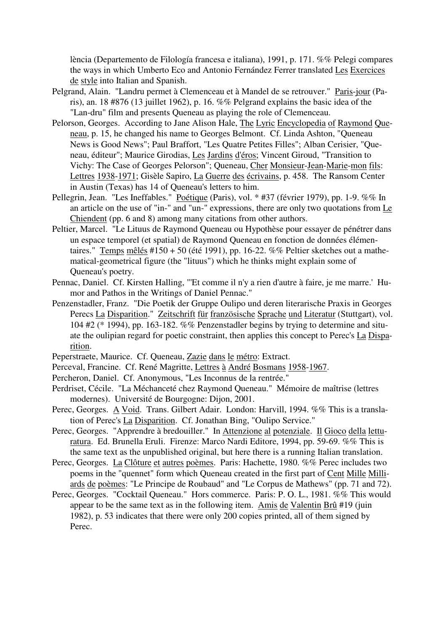lència (Departemento de Filología francesa e italiana), 1991, p. 171. %% Pelegi compares the ways in which Umberto Eco and Antonio Fernández Ferrer translated Les Exercices de style into Italian and Spanish.

- Pelgrand, Alain. "Landru permet à Clemenceau et à Mandel de se retrouver." Paris-jour (Paris), an. 18 #876 (13 juillet 1962), p. 16. %% Pelgrand explains the basic idea of the "Lan-dru" film and presents Queneau as playing the role of Clemenceau.
- Pelorson, Georges. According to Jane Alison Hale, The Lyric Encyclopedia of Raymond Queneau, p. 15, he changed his name to Georges Belmont. Cf. Linda Ashton, "Queneau News is Good News"; Paul Braffort, "Les Quatre Petites Filles"; Alban Cerisier, "Queneau, éditeur"; Maurice Girodias, Les Jardins d'éros; Vincent Giroud, "Transition to Vichy: The Case of Georges Pelorson"; Queneau, Cher Monsieur-Jean-Marie-mon fils: Lettres 1938-1971; Gisèle Sapiro, La Guerre des écrivains, p. 458. The Ransom Center in Austin (Texas) has 14 of Queneau's letters to him.
- Pellegrin, Jean. "Les Ineffables." Poétique (Paris), vol. \* #37 (février 1979), pp. 1-9. %% In an article on the use of "in-" and "un-" expressions, there are only two quotations from Le Chiendent (pp. 6 and 8) among many citations from other authors.
- Peltier, Marcel. "Le Lituus de Raymond Queneau ou Hypothèse pour essayer de pénétrer dans un espace temporel (et spatial) de Raymond Queneau en fonction de données élémentaires." Temps mêlés #150 + 50 (été 1991), pp. 16-22. %% Peltier sketches out a mathematical-geometrical figure (the "lituus") which he thinks might explain some of Queneau's poetry.
- Pennac, Daniel. Cf. Kirsten Halling, "'Et comme il n'y a rien d'autre à faire, je me marre.' Humor and Pathos in the Writings of Daniel Pennac."
- Penzenstadler, Franz. "Die Poetik der Gruppe Oulipo und deren literarische Praxis in Georges Perecs La Disparition." Zeitschrift für französische Sprache und Literatur (Stuttgart), vol. 104 #2 (\* 1994), pp. 163-182. %% Penzenstadler begins by trying to determine and situate the oulipian regard for poetic constraint, then applies this concept to Perec's La Disparition.
- Peperstraete, Maurice. Cf. Queneau, Zazie dans le métro: Extract.
- Perceval, Francine. Cf. René Magritte, Lettres à André Bosmans 1958-1967.
- Percheron, Daniel. Cf. Anonymous, "Les Inconnus de la rentrée."
- Perdriset, Cécile. "La Méchanceté chez Raymond Queneau." Mémoire de maîtrise (lettres modernes). Université de Bourgogne: Dijon, 2001.
- Perec, Georges. A Void. Trans. Gilbert Adair. London: Harvill, 1994. %% This is a translation of Perec's La Disparition. Cf. Jonathan Bing, "Oulipo Service."
- Perec, Georges. "Apprendre à bredouiller." In Attenzione al potenziale. Il Gioco della letturatura. Ed. Brunella Eruli. Firenze: Marco Nardi Editore, 1994, pp. 59-69. %% This is the same text as the unpublished original, but here there is a running Italian translation.
- Perec, Georges. La Clôture et autres poèmes. Paris: Hachette, 1980. %% Perec includes two poems in the "quennet" form which Queneau created in the first part of Cent Mille Milliards de poèmes: "Le Principe de Roubaud" and "Le Corpus de Mathews" (pp. 71 and 72).
- Perec, Georges. "Cocktail Queneau." Hors commerce. Paris: P. O. L., 1981. %% This would appear to be the same text as in the following item. Amis de Valentin Brû #19 (juin 1982), p. 53 indicates that there were only 200 copies printed, all of them signed by Perec.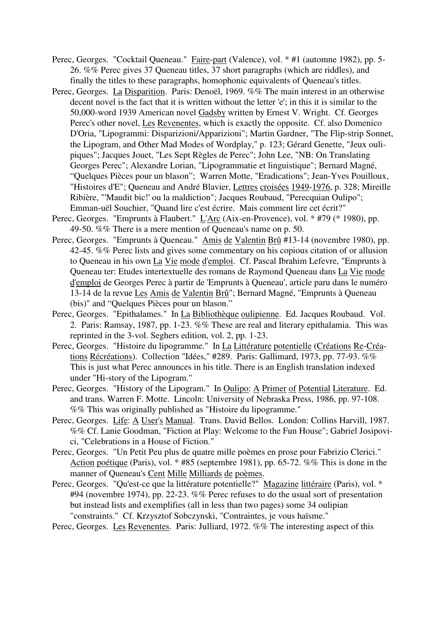- Perec, Georges. "Cocktail Queneau." Faire-part (Valence), vol. \* #1 (automne 1982), pp. 5-26. %% Perec gives 37 Queneau titles, 37 short paragraphs (which are riddles), and finally the titles to these paragraphs, homophonic equivalents of Queneau's titles.
- Perec, Georges. La Disparition. Paris: Denoël, 1969. %% The main interest in an otherwise decent novel is the fact that it is written without the letter 'e'; in this it is similar to the 50,000-word 1939 American novel Gadsby written by Ernest V. Wright. Cf. Georges Perec's other novel, Les Revenentes, which is exactly the opposite. Cf. also Domenico D'Oria, "Lipogrammi: Disparizioni/Apparizioni"; Martin Gardner, "The Flip-strip Sonnet, the Lipogram, and Other Mad Modes of Wordplay," p. 123; Gérard Genette, "Jeux oulipiques"; Jacques Jouet, "Les Sept Règles de Perec"; John Lee, "NB: On Translating Georges Perec"; Alexandre Lorian, "Lipogrammatie et linguistique"; Bernard Magné, "Quelques Pièces pour un blason"; Warren Motte, "Eradications"; Jean-Yves Pouilloux, "Histoires d'E"; Queneau and André Blavier, Lettres croisées 1949-1976, p. 328; Mireille Ribière, "'Maudit bic!' ou la maldiction"; Jacques Roubaud, "Perecquian Oulipo"; Emman-uël Souchier, "Quand lire c'est écrire. Mais comment lire cet écrit?"
- Perec, Georges. "Emprunts à Flaubert." L'Arc (Aix-en-Provence), vol. \* #79 (\* 1980), pp. 49-50. %% There is a mere mention of Queneau's name on p. 50.
- Perec, Georges. "Emprunts à Queneau." Amis de Valentin Brû #13-14 (novembre 1980), pp. 42-45. %% Perec lists and gives some commentary on his copious citation of or allusion to Queneau in his own *La Vie mode d'emploi*. Cf. Pascal Ibrahim Lefevre, "Emprunts à Queneau ter: Etudes intertextuelle des romans de Raymond Queneau dans La Vie mode d'emploi de Georges Perec à partir de 'Emprunts à Queneau', article paru dans le numéro 13-14 de la revue Les Amis de Valentin Brû"; Bernard Magné, "Emprunts à Queneau (bis)" and "Quelques Pièces pour un blason."
- Perec, Georges. "Epithalames." In La Bibliothèque oulipienne. Ed. Jacques Roubaud. Vol. 2. Paris: Ramsay, 1987, pp. 1-23. %% These are real and literary epithalamia. This was reprinted in the 3-vol. Seghers edition, vol. 2, pp. 1-23.
- Perec, Georges. "Histoire du lipogramme." In La Littérature potentielle (Créations Re-Créations Récréations). Collection "Idées," #289. Paris: Gallimard, 1973, pp. 77-93. %% This is just what Perec announces in his title. There is an English translation indexed under "Hi-story of the Lipogram."
- Perec, Georges. "History of the Lipogram." In Oulipo: A Primer of Potential Literature. Ed. and trans. Warren F. Motte. Lincoln: University of Nebraska Press, 1986, pp. 97-108. %% This was originally published as "Histoire du lipogramme."
- Perec, Georges. Life: A User's Manual. Trans. David Bellos. London: Collins Harvill, 1987. %% Cf. Lanie Goodman, "Fiction at Play: Welcome to the Fun House"; Gabriel Josipovici, "Celebrations in a House of Fiction."
- Perec, Georges. "Un Petit Peu plus de quatre mille poèmes en prose pour Fabrizio Clerici." Action poétique (Paris), vol. \* #85 (septembre 1981), pp. 65-72. %% This is done in the manner of Queneau's Cent Mille Milliards de poèmes.
- Perec, Georges. "Qu'est-ce que la littérature potentielle?" Magazine littéraire (Paris), vol. \* #94 (novembre 1974), pp. 22-23. %% Perec refuses to do the usual sort of presentation but instead lists and exemplifies (all in less than two pages) some 34 oulipian "constraints." Cf. Krzysztof Sobczynski, "Contraintes, je vous haïsme."
- Perec, Georges. Les Revenentes. Paris: Julliard, 1972. %% The interesting aspect of this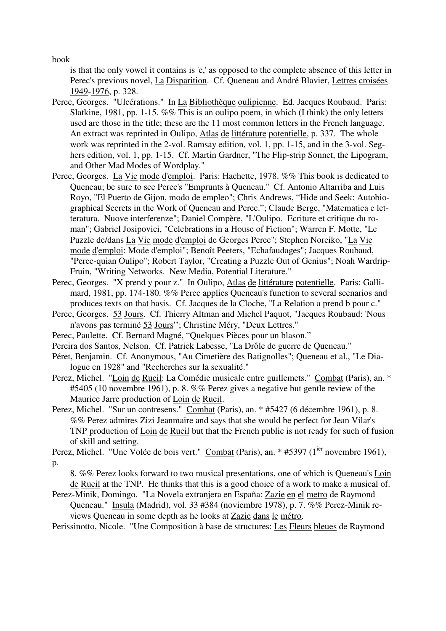book

is that the only vowel it contains is 'e,' as opposed to the complete absence of this letter in Perec's previous novel, La Disparition. Cf. Queneau and André Blavier, Lettres croisées 1949-1976, p. 328.

- Perec, Georges. "Ulcérations." In La Bibliothèque oulipienne. Ed. Jacques Roubaud. Paris: Slatkine, 1981, pp. 1-15. %% This is an oulipo poem, in which (I think) the only letters used are those in the title; these are the 11 most common letters in the French language. An extract was reprinted in Oulipo, Atlas de littérature potentielle, p. 337. The whole work was reprinted in the 2-vol. Ramsay edition, vol. 1, pp. 1-15, and in the 3-vol. Seghers edition, vol. 1, pp. 1-15. Cf. Martin Gardner, "The Flip-strip Sonnet, the Lipogram, and Other Mad Modes of Wordplay."
- Perec, Georges. La Vie mode d'emploi. Paris: Hachette, 1978. %% This book is dedicated to Queneau; be sure to see Perec's "Emprunts à Queneau." Cf. Antonio Altarriba and Luis Royo, "El Puerto de Gijon, modo de empleo"; Chris Andrews, "Hide and Seek: Autobiographical Secrets in the Work of Queneau and Perec."; Claude Berge, "Matematica e letteratura. Nuove interferenze"; Daniel Compère, "L'Oulipo. Ecriture et critique du roman"; Gabriel Josipovici, "Celebrations in a House of Fiction"; Warren F. Motte, "Le Puzzle de/dans La Vie mode d'emploi de Georges Perec"; Stephen Noreiko, "La Vie mode d'emploi: Mode d'emploi"; Benoît Peeters, "Echafaudages"; Jacques Roubaud, "Perec-quian Oulipo"; Robert Taylor, "Creating a Puzzle Out of Genius"; Noah Wardrip-Fruin, "Writing Networks. New Media, Potential Literature."
- Perec, Georges. "X prend y pour z." In Oulipo, Atlas de littérature potentielle. Paris: Gallimard, 1981, pp. 174-180. %% Perec applies Queneau's function to several scenarios and produces texts on that basis. Cf. Jacques de la Cloche, "La Relation a prend b pour c."
- Perec, Georges. 53 Jours. Cf. Thierry Altman and Michel Paquot, "Jacques Roubaud: 'Nous n'avons pas terminé 53 Jours'"; Christine Méry, "Deux Lettres."
- Perec, Paulette. Cf. Bernard Magné, "Quelques Pièces pour un blason."
- Pereira dos Santos, Nelson. Cf. Patrick Labesse, "La Drôle de guerre de Queneau."
- Péret, Benjamin. Cf. Anonymous, "Au Cimetière des Batignolles"; Queneau et al., "Le Dialogue en 1928" and "Recherches sur la sexualité."
- Perez, Michel. "Loin de Rueil: La Comédie musicale entre guillemets." Combat (Paris), an. \* #5405 (10 novembre 1961), p. 8. %% Perez gives a negative but gentle review of the Maurice Jarre production of Loin de Rueil.
- Perez, Michel. "Sur un contresens." Combat (Paris), an. \* #5427 (6 décembre 1961), p. 8. %% Perez admires Zizi Jeanmaire and says that she would be perfect for Jean Vilar's TNP production of Loin de Rueil but that the French public is not ready for such of fusion of skill and setting.

Perez, Michel. "Une Volée de bois vert." Combat (Paris), an. \* #5397 (1<sup>ier</sup> novembre 1961), p.

8. %% Perez looks forward to two musical presentations, one of which is Queneau's Loin de Rueil at the TNP. He thinks that this is a good choice of a work to make a musical of.

Perez-Minik, Domingo. "La Novela extranjera en España: Zazie en el metro de Raymond Queneau." Insula (Madrid), vol. 33 #384 (noviembre 1978), p. 7. %% Perez-Minik reviews Queneau in some depth as he looks at Zazie dans le métro.

Perissinotto, Nicole. "Une Composition à base de structures: Les Fleurs bleues de Raymond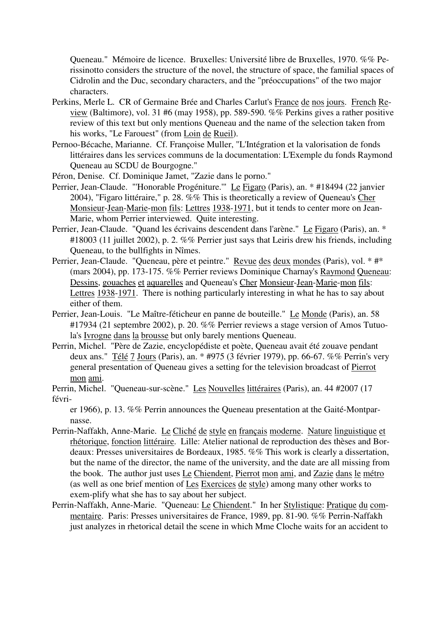Queneau." Mémoire de licence. Bruxelles: Université libre de Bruxelles, 1970. %% Perissinotto considers the structure of the novel, the structure of space, the familial spaces of Cidrolin and the Duc, secondary characters, and the "préoccupations" of the two major characters.

- Perkins, Merle L. CR of Germaine Brée and Charles Carlut's France de nos jours. French Review (Baltimore), vol. 31 #6 (may 1958), pp. 589-590. %% Perkins gives a rather positive review of this text but only mentions Queneau and the name of the selection taken from his works, "Le Farouest" (from Loin de Rueil).
- Pernoo-Bécache, Marianne. Cf. Françoise Muller, "L'Intégration et la valorisation de fonds littéraires dans les services communs de la documentation: L'Exemple du fonds Raymond Queneau au SCDU de Bourgogne."
- Péron, Denise. Cf. Dominique Jamet, "Zazie dans le porno."
- Perrier, Jean-Claude. "'Honorable Progéniture.'" Le Figaro (Paris), an. \* #18494 (22 janvier 2004), "Figaro littéraire," p. 28. %% This is theoretically a review of Queneau's Cher Monsieur-Jean-Marie-mon fils: Lettres 1938-1971, but it tends to center more on Jean-Marie, whom Perrier interviewed. Quite interesting.
- Perrier, Jean-Claude. "Quand les écrivains descendent dans l'arène." Le Figaro (Paris), an. \* #18003 (11 juillet 2002), p. 2. %% Perrier just says that Leiris drew his friends, including Queneau, to the bullfights in Nîmes.
- Perrier, Jean-Claude. "Queneau, père et peintre." Revue des deux mondes (Paris), vol. \* #\* (mars 2004), pp. 173-175. %% Perrier reviews Dominique Charnay's Raymond Queneau: Dessins, gouaches et aquarelles and Queneau's Cher Monsieur-Jean-Marie-mon fils: Lettres 1938-1971. There is nothing particularly interesting in what he has to say about either of them.
- Perrier, Jean-Louis. "Le Maître-féticheur en panne de bouteille." Le Monde (Paris), an. 58 #17934 (21 septembre 2002), p. 20. %% Perrier reviews a stage version of Amos Tutuola's Ivrogne dans la brousse but only barely mentions Queneau.
- Perrin, Michel. "Père de Zazie, encyclopédiste et poète, Queneau avait été zouave pendant deux ans." Télé 7 Jours (Paris), an. \* #975 (3 février 1979), pp. 66-67. %% Perrin's very general presentation of Queneau gives a setting for the television broadcast of Pierrot mon ami.
- Perrin, Michel. "Queneau-sur-scène." Les Nouvelles littéraires (Paris), an. 44 #2007 (17 févri-

er 1966), p. 13. %% Perrin announces the Queneau presentation at the Gaité-Montparnasse.

- Perrin-Naffakh, Anne-Marie. Le Cliché de style en français moderne. Nature linguistique et rhétorique, fonction littéraire. Lille: Atelier national de reproduction des thèses and Bordeaux: Presses universitaires de Bordeaux, 1985. %% This work is clearly a dissertation, but the name of the director, the name of the university, and the date are all missing from the book. The author just uses Le Chiendent, Pierrot mon ami, and Zazie dans le métro (as well as one brief mention of Les Exercices de style) among many other works to exem-plify what she has to say about her subject.
- Perrin-Naffakh, Anne-Marie. "Queneau: Le Chiendent." In her Stylistique: Pratique du commentaire. Paris: Presses universitaires de France, 1989, pp. 81-90. %% Perrin-Naffakh just analyzes in rhetorical detail the scene in which Mme Cloche waits for an accident to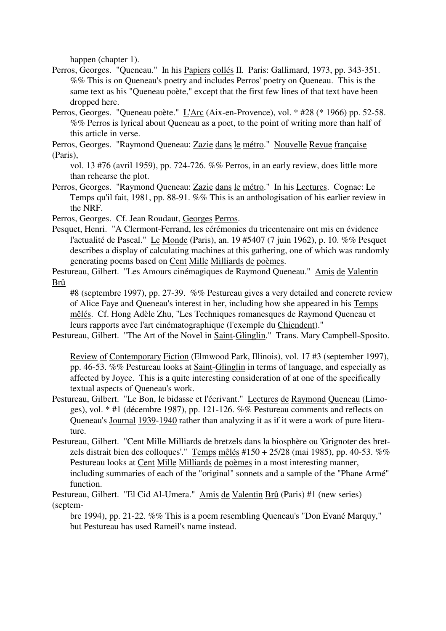happen (chapter 1).

- Perros, Georges. "Queneau." In his Papiers collés II. Paris: Gallimard, 1973, pp. 343-351. %% This is on Queneau's poetry and includes Perros' poetry on Queneau. This is the same text as his "Queneau poète," except that the first few lines of that text have been dropped here.
- Perros, Georges. "Queneau poète." L'Arc (Aix-en-Provence), vol. \* #28 (\* 1966) pp. 52-58. %% Perros is lyrical about Queneau as a poet, to the point of writing more than half of this article in verse.
- Perros, Georges. "Raymond Queneau: Zazie dans le métro." Nouvelle Revue française (Paris),
	- vol. 13 #76 (avril 1959), pp. 724-726. %% Perros, in an early review, does little more than rehearse the plot.
- Perros, Georges. "Raymond Queneau: Zazie dans le métro." In his Lectures. Cognac: Le Temps qu'il fait, 1981, pp. 88-91. %% This is an anthologisation of his earlier review in the NRF.

Perros, Georges. Cf. Jean Roudaut, Georges Perros.

- Pesquet, Henri. "A Clermont-Ferrand, les cérémonies du tricentenaire ont mis en évidence l'actualité de Pascal." Le Monde (Paris), an. 19 #5407 (7 juin 1962), p. 10. %% Pesquet describes a display of calculating machines at this gathering, one of which was randomly generating poems based on Cent Mille Milliards de poèmes.
- Pestureau, Gilbert. "Les Amours cinémagiques de Raymond Queneau." Amis de Valentin Brû

#8 (septembre 1997), pp. 27-39. %% Pestureau gives a very detailed and concrete review of Alice Faye and Queneau's interest in her, including how she appeared in his Temps mêlés. Cf. Hong Adèle Zhu, "Les Techniques romanesques de Raymond Queneau et leurs rapports avec l'art cinématographique (l'exemple du Chiendent)."

Pestureau, Gilbert. "The Art of the Novel in Saint-Glinglin." Trans. Mary Campbell-Sposito.

Review of Contemporary Fiction (Elmwood Park, Illinois), vol. 17 #3 (september 1997), pp. 46-53. %% Pestureau looks at Saint-Glinglin in terms of language, and especially as affected by Joyce. This is a quite interesting consideration of at one of the specifically textual aspects of Queneau's work.

- Pestureau, Gilbert. "Le Bon, le bidasse et l'écrivant." Lectures de Raymond Queneau (Limoges), vol. \* #1 (décembre 1987), pp. 121-126. %% Pestureau comments and reflects on Queneau's Journal 1939-1940 rather than analyzing it as if it were a work of pure literature.
- Pestureau, Gilbert. "Cent Mille Milliards de bretzels dans la biosphère ou 'Grignoter des bretzels distrait bien des colloques'." Temps mêlés  $\#150 + 25/28$  (mai 1985), pp. 40-53. %% Pestureau looks at Cent Mille Milliards de poèmes in a most interesting manner, including summaries of each of the "original" sonnets and a sample of the "Phane Armé" function.

Pestureau, Gilbert. "El Cid Al-Umera." Amis de Valentin Brû (Paris) #1 (new series) (septem-

bre 1994), pp. 21-22. %% This is a poem resembling Queneau's "Don Evané Marquy," but Pestureau has used Rameil's name instead.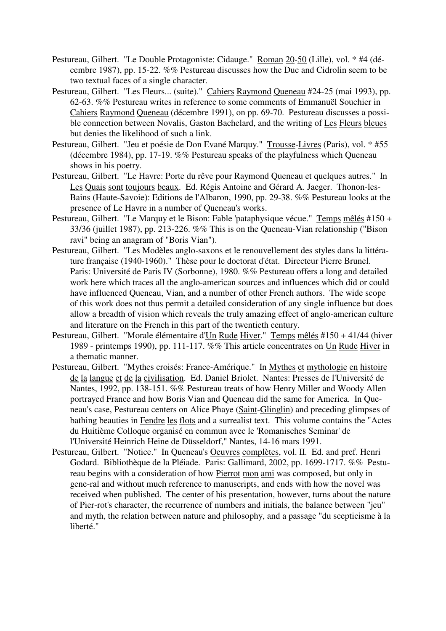- Pestureau, Gilbert. "Le Double Protagoniste: Cidauge." Roman 20-50 (Lille), vol. \* #4 (décembre 1987), pp. 15-22. %% Pestureau discusses how the Duc and Cidrolin seem to be two textual faces of a single character.
- Pestureau, Gilbert. "Les Fleurs... (suite)." Cahiers Raymond Queneau #24-25 (mai 1993), pp. 62-63. %% Pestureau writes in reference to some comments of Emmanuël Souchier in Cahiers Raymond Queneau (décembre 1991), on pp. 69-70. Pestureau discusses a possible connection between Novalis, Gaston Bachelard, and the writing of Les Fleurs bleues but denies the likelihood of such a link.
- Pestureau, Gilbert. "Jeu et poésie de Don Evané Marquy." Trousse-Livres (Paris), vol. \* #55 (décembre 1984), pp. 17-19. %% Pestureau speaks of the playfulness which Queneau shows in his poetry.
- Pestureau, Gilbert. "Le Havre: Porte du rêve pour Raymond Queneau et quelques autres." In Les Quais sont toujours beaux. Ed. Régis Antoine and Gérard A. Jaeger. Thonon-les-Bains (Haute-Savoie): Editions de l'Albaron, 1990, pp. 29-38. %% Pestureau looks at the presence of Le Havre in a number of Queneau's works.
- Pestureau, Gilbert. "Le Marquy et le Bison: Fable 'pataphysique vécue." Temps mêlés #150 + 33/36 (juillet 1987), pp. 213-226. %% This is on the Queneau-Vian relationship ("Bison ravi" being an anagram of "Boris Vian").
- Pestureau, Gilbert. "Les Modèles anglo-saxons et le renouvellement des styles dans la littérature française (1940-1960)." Thèse pour le doctorat d'état. Directeur Pierre Brunel. Paris: Université de Paris IV (Sorbonne), 1980. %% Pestureau offers a long and detailed work here which traces all the anglo-american sources and influences which did or could have influenced Queneau, Vian, and a number of other French authors. The wide scope of this work does not thus permit a detailed consideration of any single influence but does allow a breadth of vision which reveals the truly amazing effect of anglo-american culture and literature on the French in this part of the twentieth century.
- Pestureau, Gilbert. "Morale élémentaire d'Un Rude Hiver." Temps mêlés #150 + 41/44 (hiver 1989 - printemps 1990), pp. 111-117. %% This article concentrates on Un Rude Hiver in a thematic manner.
- Pestureau, Gilbert. "Mythes croisés: France-Amérique." In Mythes et mythologie en histoire de la langue et de la civilisation. Ed. Daniel Briolet. Nantes: Presses de l'Université de Nantes, 1992, pp. 138-151. %% Pestureau treats of how Henry Miller and Woody Allen portrayed France and how Boris Vian and Queneau did the same for America. In Queneau's case, Pestureau centers on Alice Phaye (Saint-Glinglin) and preceding glimpses of bathing beauties in Fendre les flots and a surrealist text. This volume contains the "Actes du Huitième Colloque organisé en commun avec le 'Romanisches Seminar' de l'Université Heinrich Heine de Düsseldorf," Nantes, 14-16 mars 1991.
- Pestureau, Gilbert. "Notice." In Queneau's Oeuvres complètes, vol. II. Ed. and pref. Henri Godard. Bibliothèque de la Pléiade. Paris: Gallimard, 2002, pp. 1699-1717. %% Pestureau begins with a consideration of how Pierrot mon ami was composed, but only in gene-ral and without much reference to manuscripts, and ends with how the novel was received when published. The center of his presentation, however, turns about the nature of Pier-rot's character, the recurrence of numbers and initials, the balance between "jeu" and myth, the relation between nature and philosophy, and a passage "du scepticisme à la liberté."